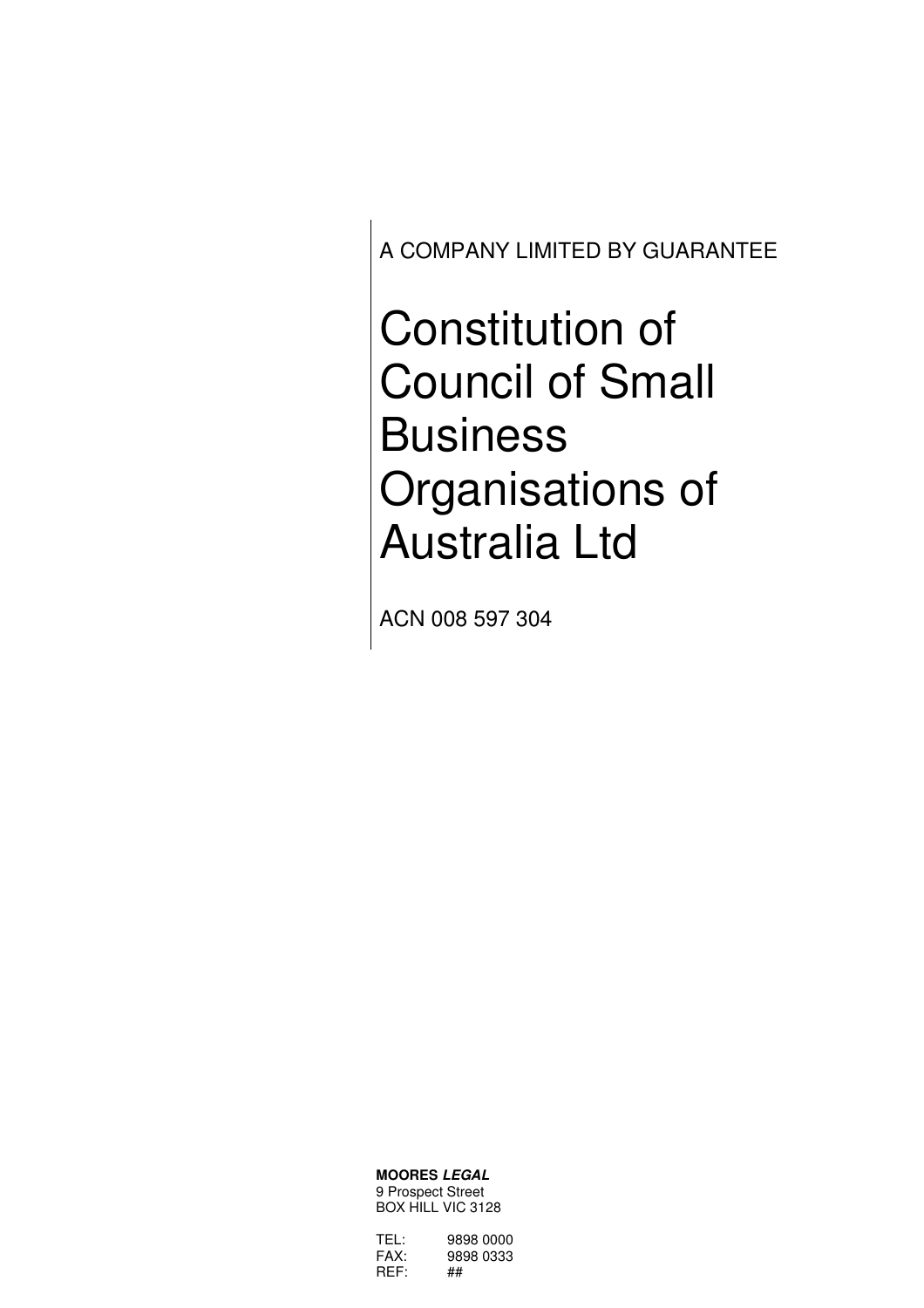A COMPANY LIMITED BY GUARANTEE

Constitution of Council of Small **Business** Organisations of Australia Ltd

ACN 008 597 304

**MOORES LEGAL** 9 Prospect Street BOX HILL VIC 3128

| TFL: | 9898 0000 |
|------|-----------|
| FAX: | 9898 0333 |
| REF: | ##        |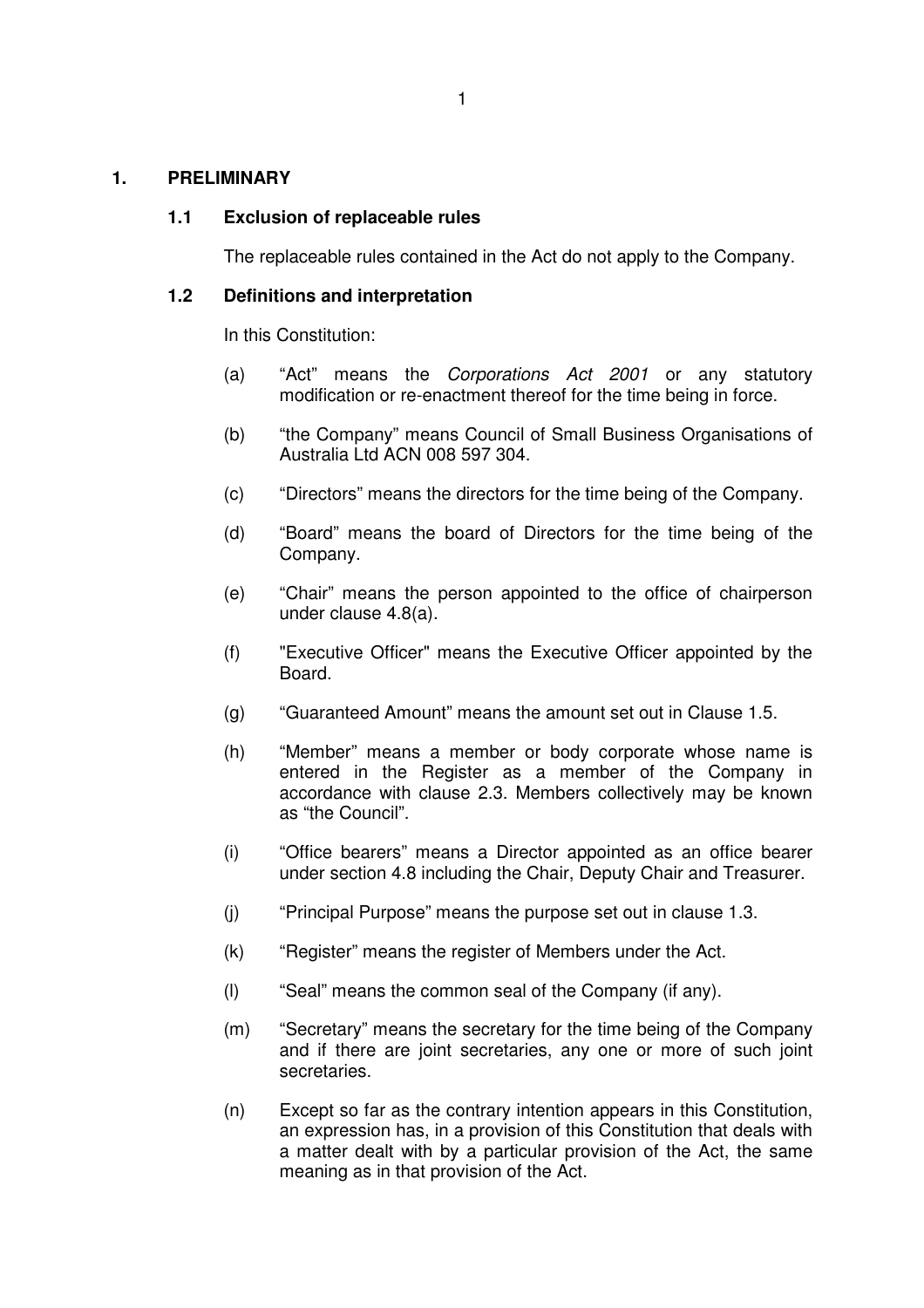#### **1. PRELIMINARY**

#### **1.1 Exclusion of replaceable rules**

The replaceable rules contained in the Act do not apply to the Company.

#### **1.2 Definitions and interpretation**

In this Constitution:

- (a) "Act" means the Corporations Act 2001 or any statutory modification or re-enactment thereof for the time being in force.
- (b) "the Company" means Council of Small Business Organisations of Australia Ltd ACN 008 597 304.
- (c) "Directors" means the directors for the time being of the Company.
- (d) "Board" means the board of Directors for the time being of the Company.
- (e) "Chair" means the person appointed to the office of chairperson under clause 4.8(a).
- (f) "Executive Officer" means the Executive Officer appointed by the Board.
- (g) "Guaranteed Amount" means the amount set out in Clause 1.5.
- (h) "Member" means a member or body corporate whose name is entered in the Register as a member of the Company in accordance with clause 2.3. Members collectively may be known as "the Council".
- (i) "Office bearers" means a Director appointed as an office bearer under section 4.8 including the Chair, Deputy Chair and Treasurer.
- (j) "Principal Purpose" means the purpose set out in clause 1.3.
- (k) "Register" means the register of Members under the Act.
- (l) "Seal" means the common seal of the Company (if any).
- (m) "Secretary" means the secretary for the time being of the Company and if there are joint secretaries, any one or more of such joint secretaries.
- (n) Except so far as the contrary intention appears in this Constitution, an expression has, in a provision of this Constitution that deals with a matter dealt with by a particular provision of the Act, the same meaning as in that provision of the Act.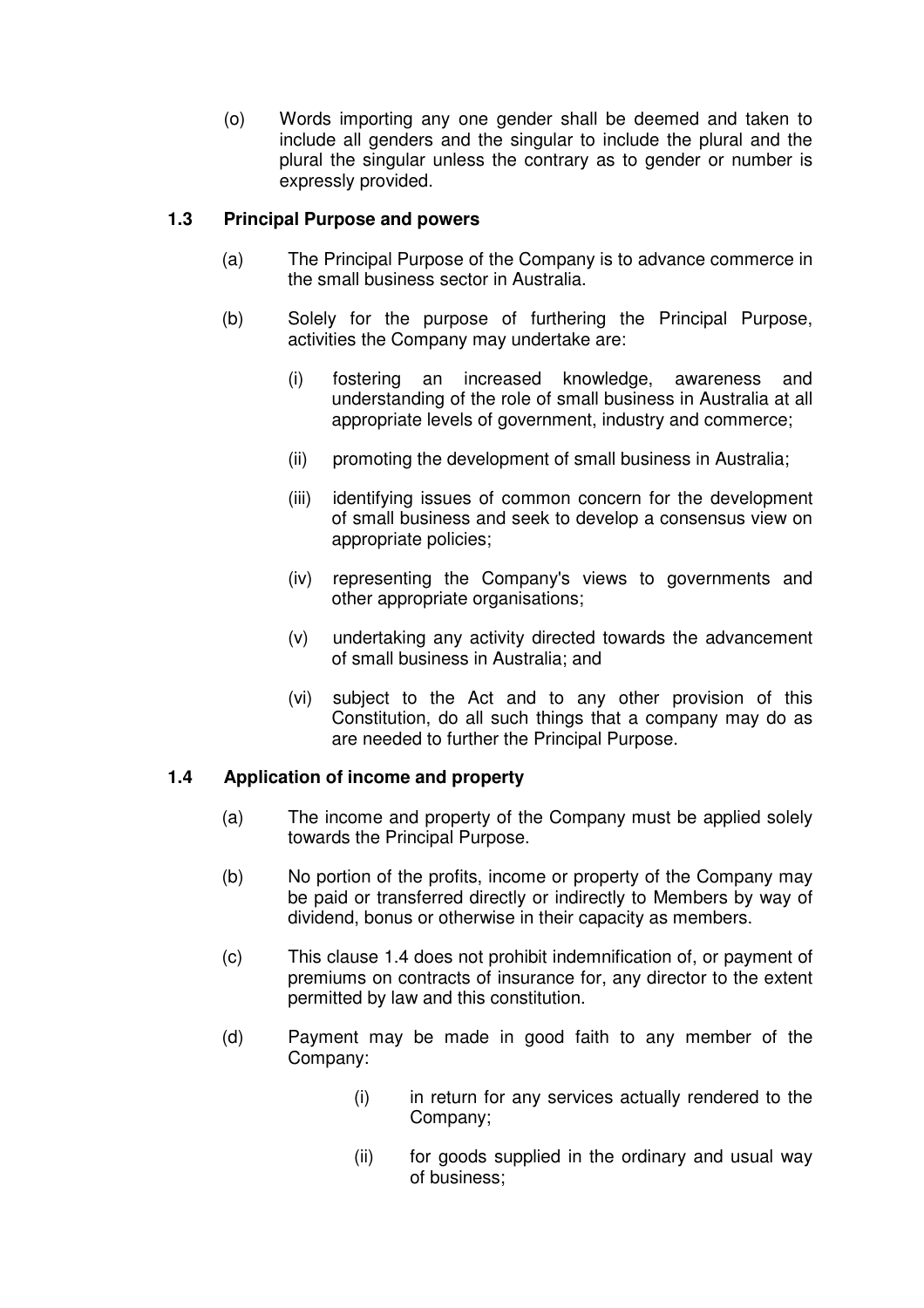(o) Words importing any one gender shall be deemed and taken to include all genders and the singular to include the plural and the plural the singular unless the contrary as to gender or number is expressly provided.

## **1.3 Principal Purpose and powers**

- (a) The Principal Purpose of the Company is to advance commerce in the small business sector in Australia.
- (b) Solely for the purpose of furthering the Principal Purpose, activities the Company may undertake are:
	- (i) fostering an increased knowledge, awareness and understanding of the role of small business in Australia at all appropriate levels of government, industry and commerce;
	- (ii) promoting the development of small business in Australia;
	- (iii) identifying issues of common concern for the development of small business and seek to develop a consensus view on appropriate policies;
	- (iv) representing the Company's views to governments and other appropriate organisations;
	- (v) undertaking any activity directed towards the advancement of small business in Australia; and
	- (vi) subject to the Act and to any other provision of this Constitution, do all such things that a company may do as are needed to further the Principal Purpose.

## **1.4 Application of income and property**

- (a) The income and property of the Company must be applied solely towards the Principal Purpose.
- (b) No portion of the profits, income or property of the Company may be paid or transferred directly or indirectly to Members by way of dividend, bonus or otherwise in their capacity as members.
- (c) This clause 1.4 does not prohibit indemnification of, or payment of premiums on contracts of insurance for, any director to the extent permitted by law and this constitution.
- (d) Payment may be made in good faith to any member of the Company:
	- (i) in return for any services actually rendered to the Company;
	- (ii) for goods supplied in the ordinary and usual way of business;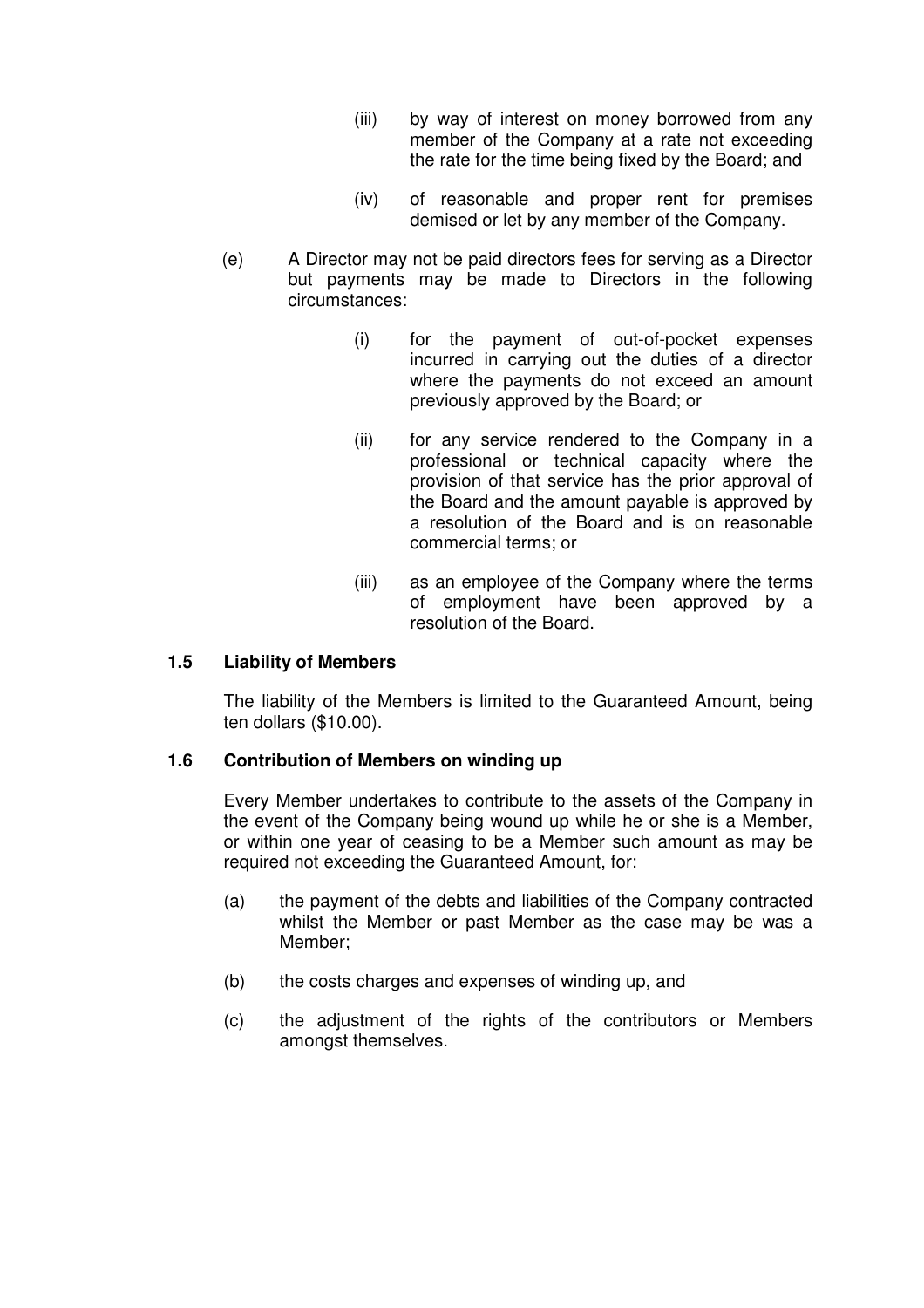- (iii) by way of interest on money borrowed from any member of the Company at a rate not exceeding the rate for the time being fixed by the Board; and
- (iv) of reasonable and proper rent for premises demised or let by any member of the Company.
- (e) A Director may not be paid directors fees for serving as a Director but payments may be made to Directors in the following circumstances:
	- (i) for the payment of out-of-pocket expenses incurred in carrying out the duties of a director where the payments do not exceed an amount previously approved by the Board; or
	- (ii) for any service rendered to the Company in a professional or technical capacity where the provision of that service has the prior approval of the Board and the amount payable is approved by a resolution of the Board and is on reasonable commercial terms; or
	- (iii) as an employee of the Company where the terms of employment have been approved by a resolution of the Board.

### **1.5 Liability of Members**

The liability of the Members is limited to the Guaranteed Amount, being ten dollars (\$10.00).

## **1.6 Contribution of Members on winding up**

Every Member undertakes to contribute to the assets of the Company in the event of the Company being wound up while he or she is a Member, or within one year of ceasing to be a Member such amount as may be required not exceeding the Guaranteed Amount, for:

- (a) the payment of the debts and liabilities of the Company contracted whilst the Member or past Member as the case may be was a Member;
- (b) the costs charges and expenses of winding up, and
- (c) the adjustment of the rights of the contributors or Members amongst themselves.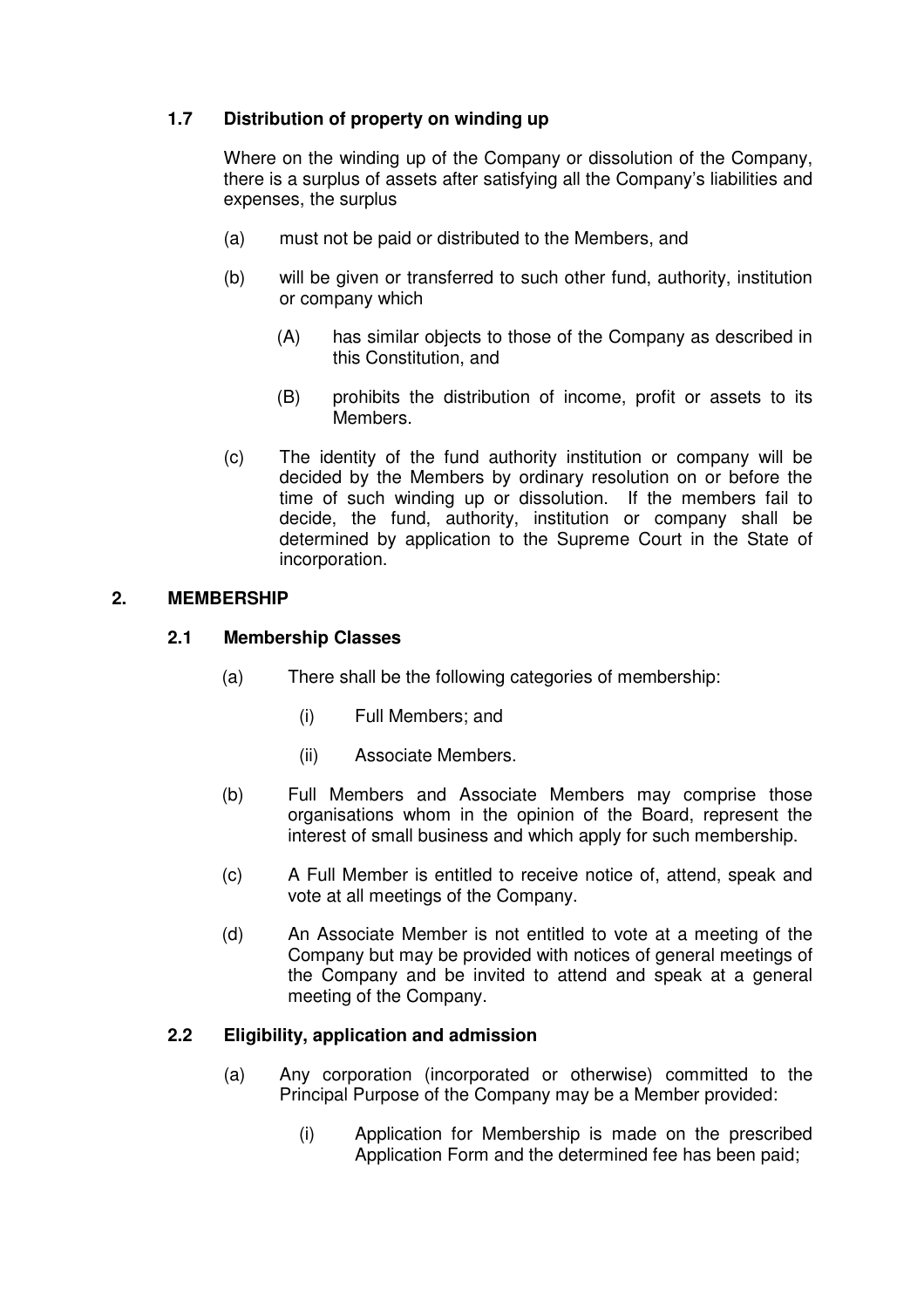## **1.7 Distribution of property on winding up**

Where on the winding up of the Company or dissolution of the Company, there is a surplus of assets after satisfying all the Company's liabilities and expenses, the surplus

- (a) must not be paid or distributed to the Members, and
- (b) will be given or transferred to such other fund, authority, institution or company which
	- (A) has similar objects to those of the Company as described in this Constitution, and
	- (B) prohibits the distribution of income, profit or assets to its Members.
- (c) The identity of the fund authority institution or company will be decided by the Members by ordinary resolution on or before the time of such winding up or dissolution. If the members fail to decide, the fund, authority, institution or company shall be determined by application to the Supreme Court in the State of incorporation.

### **2. MEMBERSHIP**

### **2.1 Membership Classes**

- (a) There shall be the following categories of membership:
	- (i) Full Members; and
	- (ii) Associate Members.
- (b) Full Members and Associate Members may comprise those organisations whom in the opinion of the Board, represent the interest of small business and which apply for such membership.
- (c) A Full Member is entitled to receive notice of, attend, speak and vote at all meetings of the Company.
- (d) An Associate Member is not entitled to vote at a meeting of the Company but may be provided with notices of general meetings of the Company and be invited to attend and speak at a general meeting of the Company.

## **2.2 Eligibility, application and admission**

- (a) Any corporation (incorporated or otherwise) committed to the Principal Purpose of the Company may be a Member provided:
	- (i) Application for Membership is made on the prescribed Application Form and the determined fee has been paid;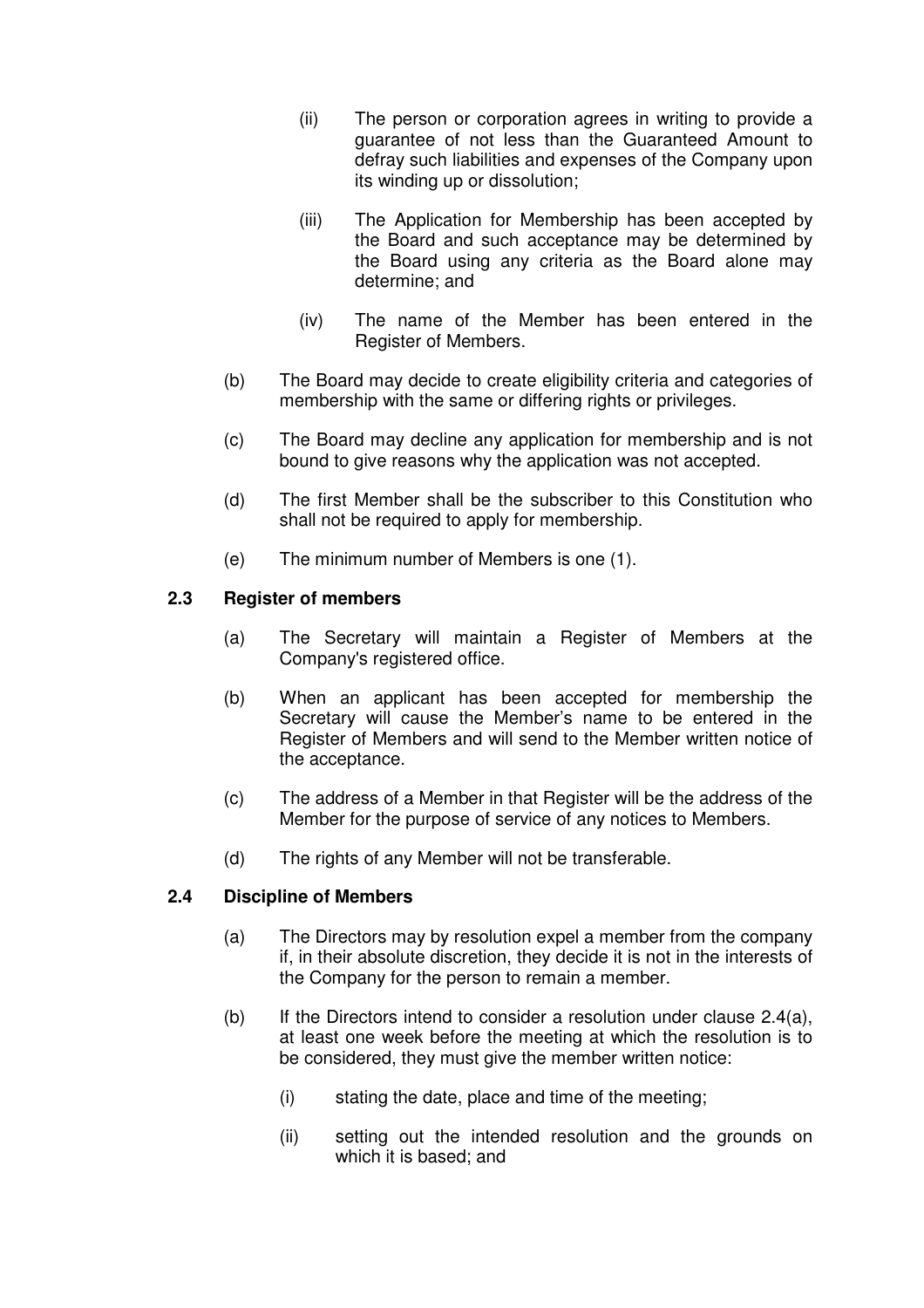- (ii) The person or corporation agrees in writing to provide a guarantee of not less than the Guaranteed Amount to defray such liabilities and expenses of the Company upon its winding up or dissolution;
- (iii) The Application for Membership has been accepted by the Board and such acceptance may be determined by the Board using any criteria as the Board alone may determine; and
- (iv) The name of the Member has been entered in the Register of Members.
- (b) The Board may decide to create eligibility criteria and categories of membership with the same or differing rights or privileges.
- (c) The Board may decline any application for membership and is not bound to give reasons why the application was not accepted.
- (d) The first Member shall be the subscriber to this Constitution who shall not be required to apply for membership.
- (e) The minimum number of Members is one (1).

### **2.3 Register of members**

- (a) The Secretary will maintain a Register of Members at the Company's registered office.
- (b) When an applicant has been accepted for membership the Secretary will cause the Member's name to be entered in the Register of Members and will send to the Member written notice of the acceptance.
- (c) The address of a Member in that Register will be the address of the Member for the purpose of service of any notices to Members.
- (d) The rights of any Member will not be transferable.

## **2.4 Discipline of Members**

- (a) The Directors may by resolution expel a member from the company if, in their absolute discretion, they decide it is not in the interests of the Company for the person to remain a member.
- (b) If the Directors intend to consider a resolution under clause  $2.4(a)$ , at least one week before the meeting at which the resolution is to be considered, they must give the member written notice:
	- (i) stating the date, place and time of the meeting;
	- (ii) setting out the intended resolution and the grounds on which it is based; and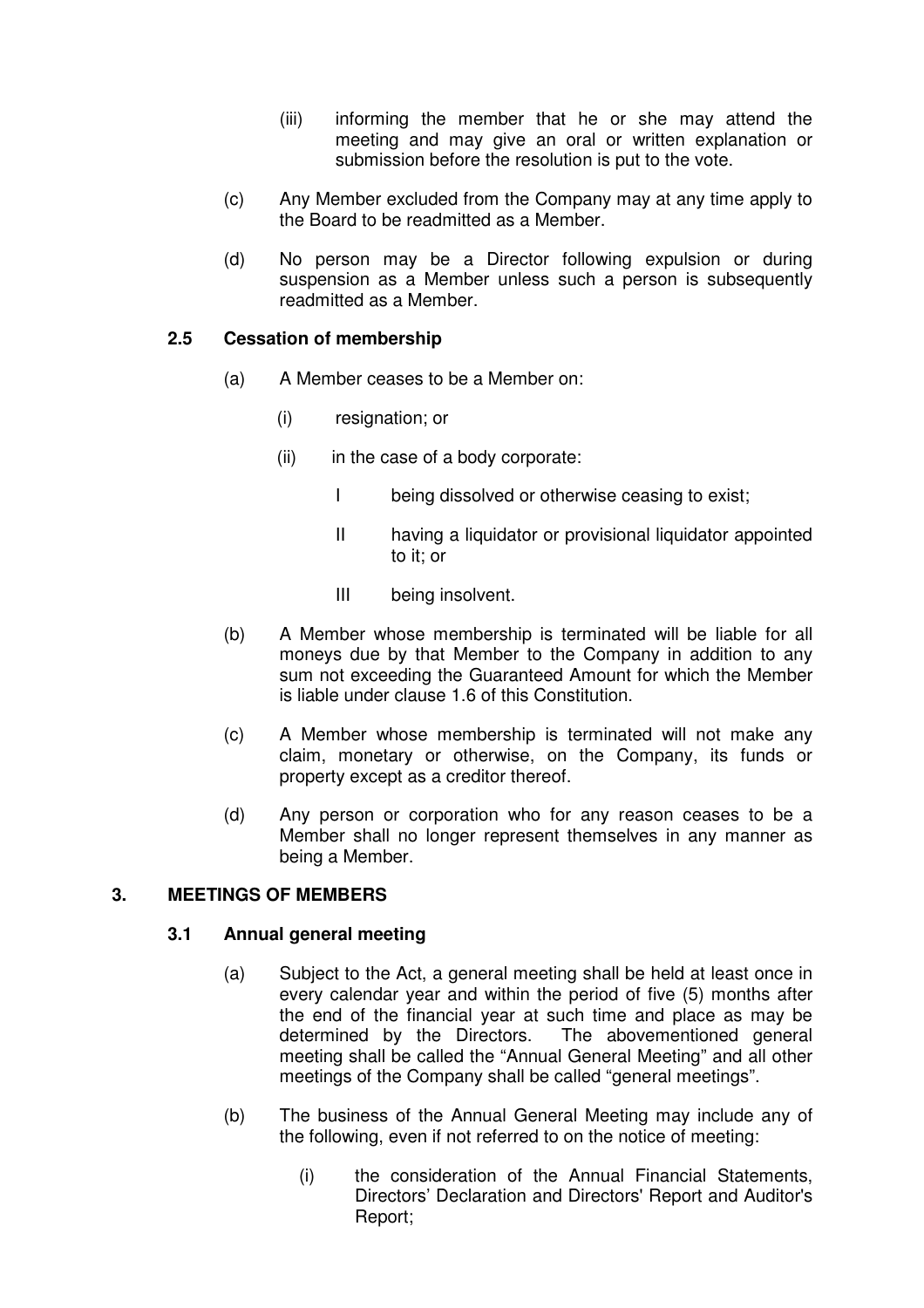- (iii) informing the member that he or she may attend the meeting and may give an oral or written explanation or submission before the resolution is put to the vote.
- (c) Any Member excluded from the Company may at any time apply to the Board to be readmitted as a Member.
- (d) No person may be a Director following expulsion or during suspension as a Member unless such a person is subsequently readmitted as a Member.

### **2.5 Cessation of membership**

- (a) A Member ceases to be a Member on:
	- (i) resignation; or
	- $(ii)$  in the case of a body corporate:
		- I being dissolved or otherwise ceasing to exist;
		- II having a liquidator or provisional liquidator appointed to it; or
		- III being insolvent.
- (b) A Member whose membership is terminated will be liable for all moneys due by that Member to the Company in addition to any sum not exceeding the Guaranteed Amount for which the Member is liable under clause 1.6 of this Constitution.
- (c) A Member whose membership is terminated will not make any claim, monetary or otherwise, on the Company, its funds or property except as a creditor thereof.
- (d) Any person or corporation who for any reason ceases to be a Member shall no longer represent themselves in any manner as being a Member.

## **3. MEETINGS OF MEMBERS**

### **3.1 Annual general meeting**

- (a) Subject to the Act, a general meeting shall be held at least once in every calendar year and within the period of five (5) months after the end of the financial year at such time and place as may be determined by the Directors. The abovementioned general meeting shall be called the "Annual General Meeting" and all other meetings of the Company shall be called "general meetings".
- (b) The business of the Annual General Meeting may include any of the following, even if not referred to on the notice of meeting:
	- (i) the consideration of the Annual Financial Statements, Directors' Declaration and Directors' Report and Auditor's Report;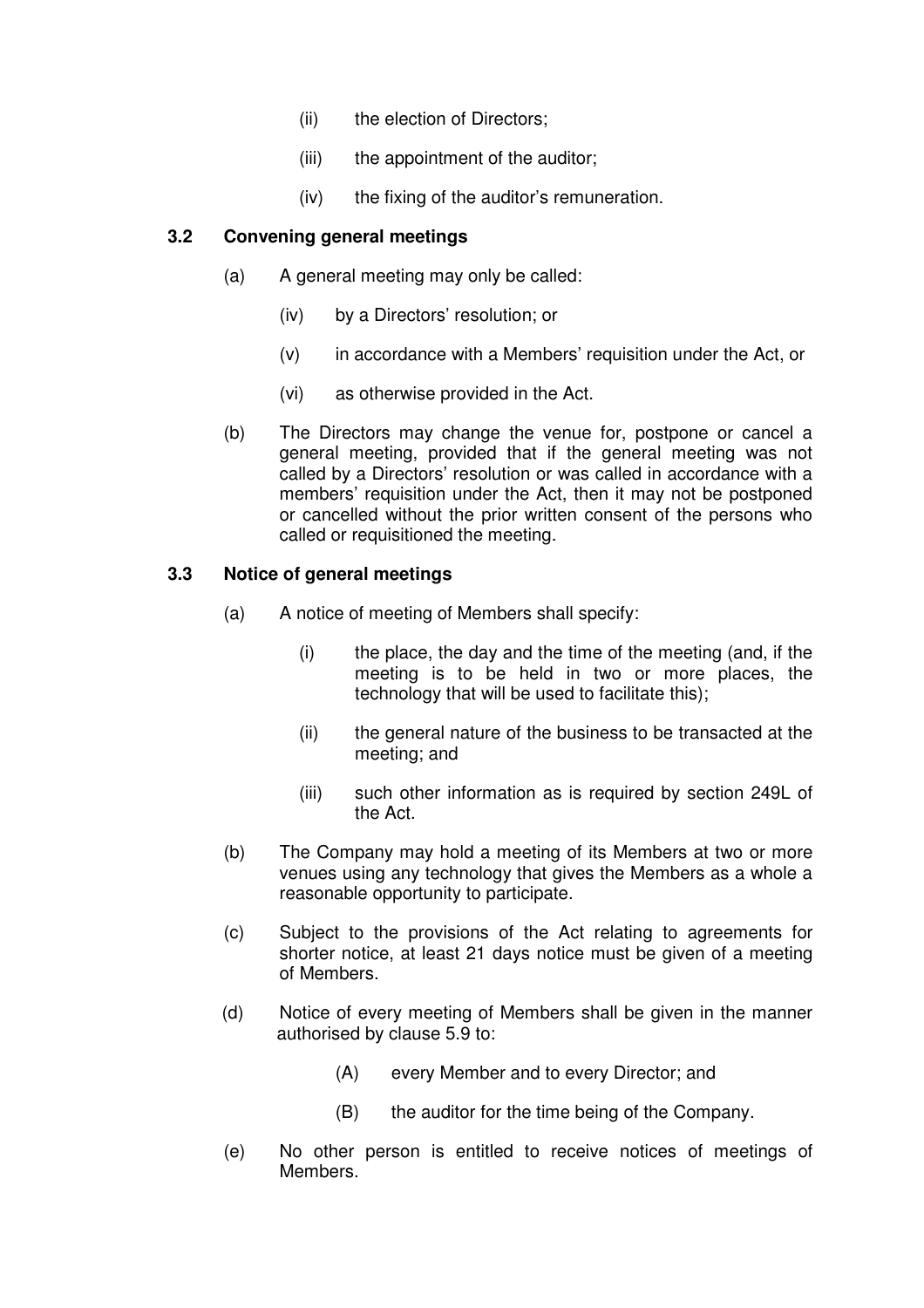- (ii) the election of Directors;
- (iii) the appointment of the auditor;
- (iv) the fixing of the auditor's remuneration.

### **3.2 Convening general meetings**

- (a) A general meeting may only be called:
	- (iv) by a Directors' resolution; or
	- (v) in accordance with a Members' requisition under the Act, or
	- (vi) as otherwise provided in the Act.
- (b) The Directors may change the venue for, postpone or cancel a general meeting, provided that if the general meeting was not called by a Directors' resolution or was called in accordance with a members' requisition under the Act, then it may not be postponed or cancelled without the prior written consent of the persons who called or requisitioned the meeting.

## **3.3 Notice of general meetings**

- (a) A notice of meeting of Members shall specify:
	- $(i)$  the place, the day and the time of the meeting (and, if the meeting is to be held in two or more places, the technology that will be used to facilitate this);
	- (ii) the general nature of the business to be transacted at the meeting; and
	- (iii) such other information as is required by section 249L of the Act.
- (b) The Company may hold a meeting of its Members at two or more venues using any technology that gives the Members as a whole a reasonable opportunity to participate.
- (c) Subject to the provisions of the Act relating to agreements for shorter notice, at least 21 days notice must be given of a meeting of Members.
- (d) Notice of every meeting of Members shall be given in the manner authorised by clause 5.9 to:
	- (A) every Member and to every Director; and
	- (B) the auditor for the time being of the Company.
- (e) No other person is entitled to receive notices of meetings of Members.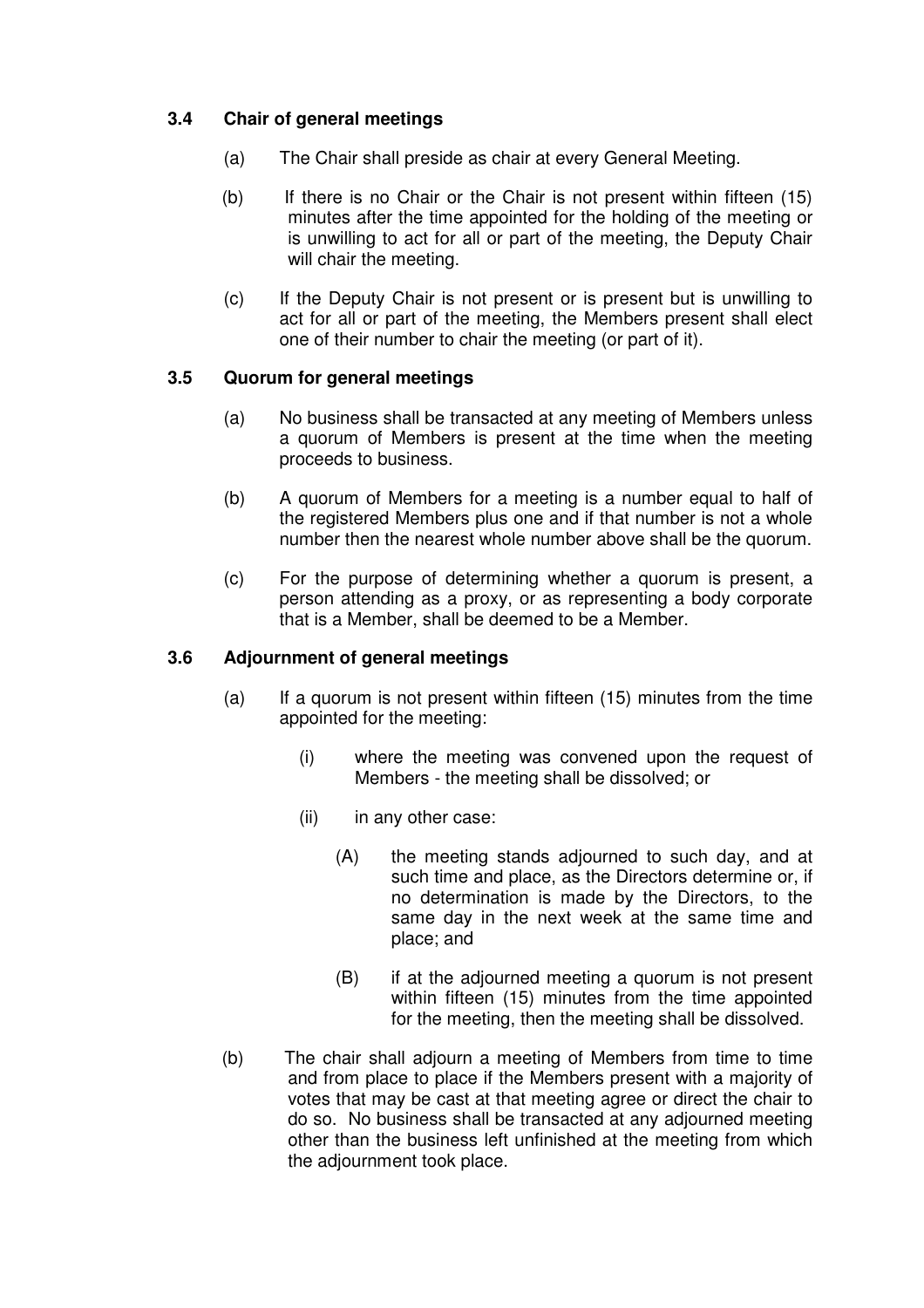## **3.4 Chair of general meetings**

- (a) The Chair shall preside as chair at every General Meeting.
- (b) If there is no Chair or the Chair is not present within fifteen (15) minutes after the time appointed for the holding of the meeting or is unwilling to act for all or part of the meeting, the Deputy Chair will chair the meeting.
- (c) If the Deputy Chair is not present or is present but is unwilling to act for all or part of the meeting, the Members present shall elect one of their number to chair the meeting (or part of it).

### **3.5 Quorum for general meetings**

- (a) No business shall be transacted at any meeting of Members unless a quorum of Members is present at the time when the meeting proceeds to business.
- (b) A quorum of Members for a meeting is a number equal to half of the registered Members plus one and if that number is not a whole number then the nearest whole number above shall be the quorum.
- (c) For the purpose of determining whether a quorum is present, a person attending as a proxy, or as representing a body corporate that is a Member, shall be deemed to be a Member.

#### **3.6 Adjournment of general meetings**

- (a) If a quorum is not present within fifteen (15) minutes from the time appointed for the meeting:
	- (i) where the meeting was convened upon the request of Members - the meeting shall be dissolved; or
	- (ii) in any other case:
		- (A) the meeting stands adjourned to such day, and at such time and place, as the Directors determine or, if no determination is made by the Directors, to the same day in the next week at the same time and place; and
		- (B) if at the adjourned meeting a quorum is not present within fifteen (15) minutes from the time appointed for the meeting, then the meeting shall be dissolved.
- (b) The chair shall adjourn a meeting of Members from time to time and from place to place if the Members present with a majority of votes that may be cast at that meeting agree or direct the chair to do so. No business shall be transacted at any adjourned meeting other than the business left unfinished at the meeting from which the adjournment took place.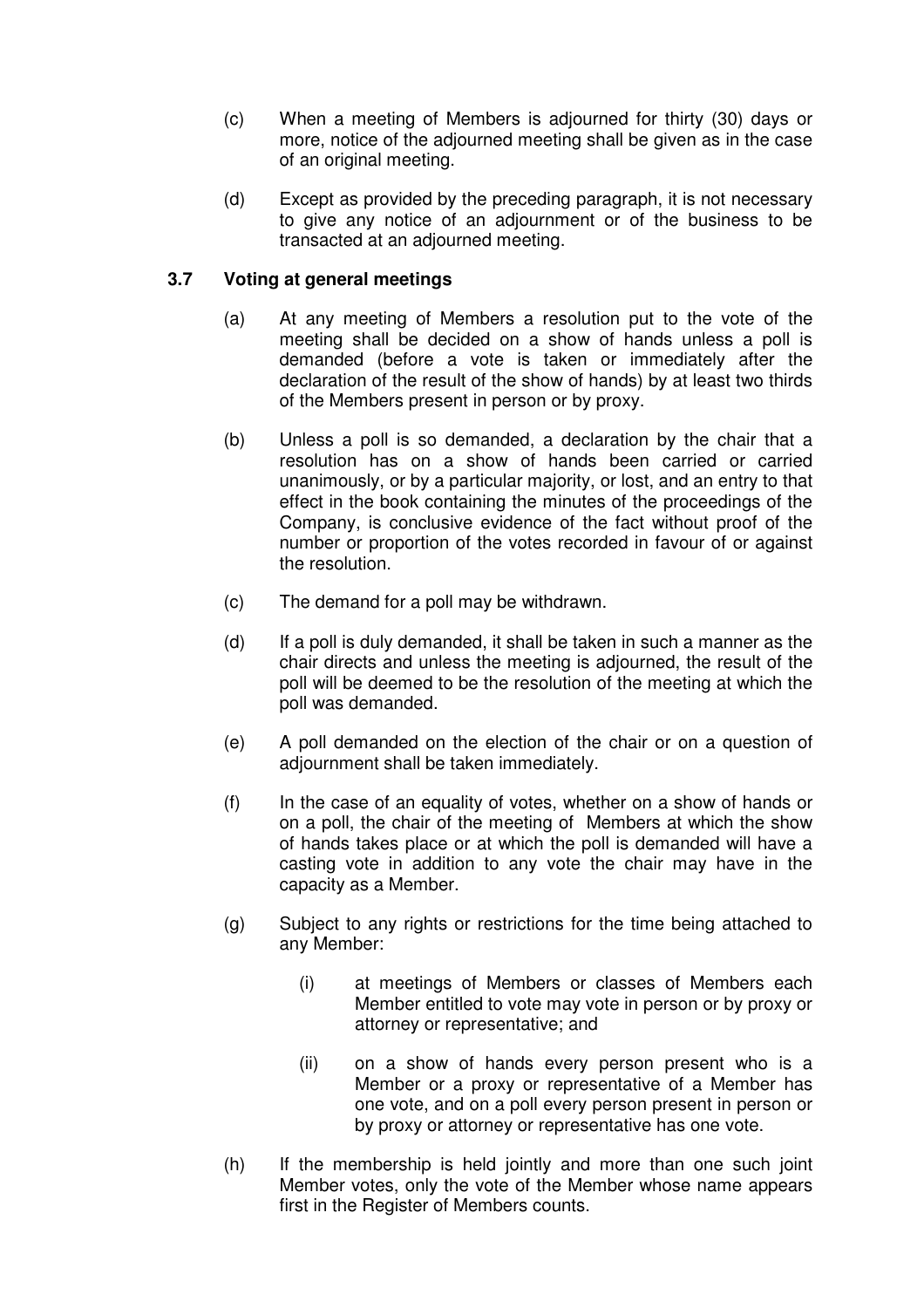- (c) When a meeting of Members is adjourned for thirty (30) days or more, notice of the adjourned meeting shall be given as in the case of an original meeting.
- (d) Except as provided by the preceding paragraph, it is not necessary to give any notice of an adjournment or of the business to be transacted at an adjourned meeting.

## **3.7 Voting at general meetings**

- (a) At any meeting of Members a resolution put to the vote of the meeting shall be decided on a show of hands unless a poll is demanded (before a vote is taken or immediately after the declaration of the result of the show of hands) by at least two thirds of the Members present in person or by proxy.
- (b) Unless a poll is so demanded, a declaration by the chair that a resolution has on a show of hands been carried or carried unanimously, or by a particular majority, or lost, and an entry to that effect in the book containing the minutes of the proceedings of the Company, is conclusive evidence of the fact without proof of the number or proportion of the votes recorded in favour of or against the resolution.
- (c) The demand for a poll may be withdrawn.
- (d) If a poll is duly demanded, it shall be taken in such a manner as the chair directs and unless the meeting is adjourned, the result of the poll will be deemed to be the resolution of the meeting at which the poll was demanded.
- (e) A poll demanded on the election of the chair or on a question of adjournment shall be taken immediately.
- (f) In the case of an equality of votes, whether on a show of hands or on a poll, the chair of the meeting of Members at which the show of hands takes place or at which the poll is demanded will have a casting vote in addition to any vote the chair may have in the capacity as a Member.
- (g) Subject to any rights or restrictions for the time being attached to any Member:
	- (i) at meetings of Members or classes of Members each Member entitled to vote may vote in person or by proxy or attorney or representative; and
	- (ii) on a show of hands every person present who is a Member or a proxy or representative of a Member has one vote, and on a poll every person present in person or by proxy or attorney or representative has one vote.
- (h) If the membership is held jointly and more than one such joint Member votes, only the vote of the Member whose name appears first in the Register of Members counts.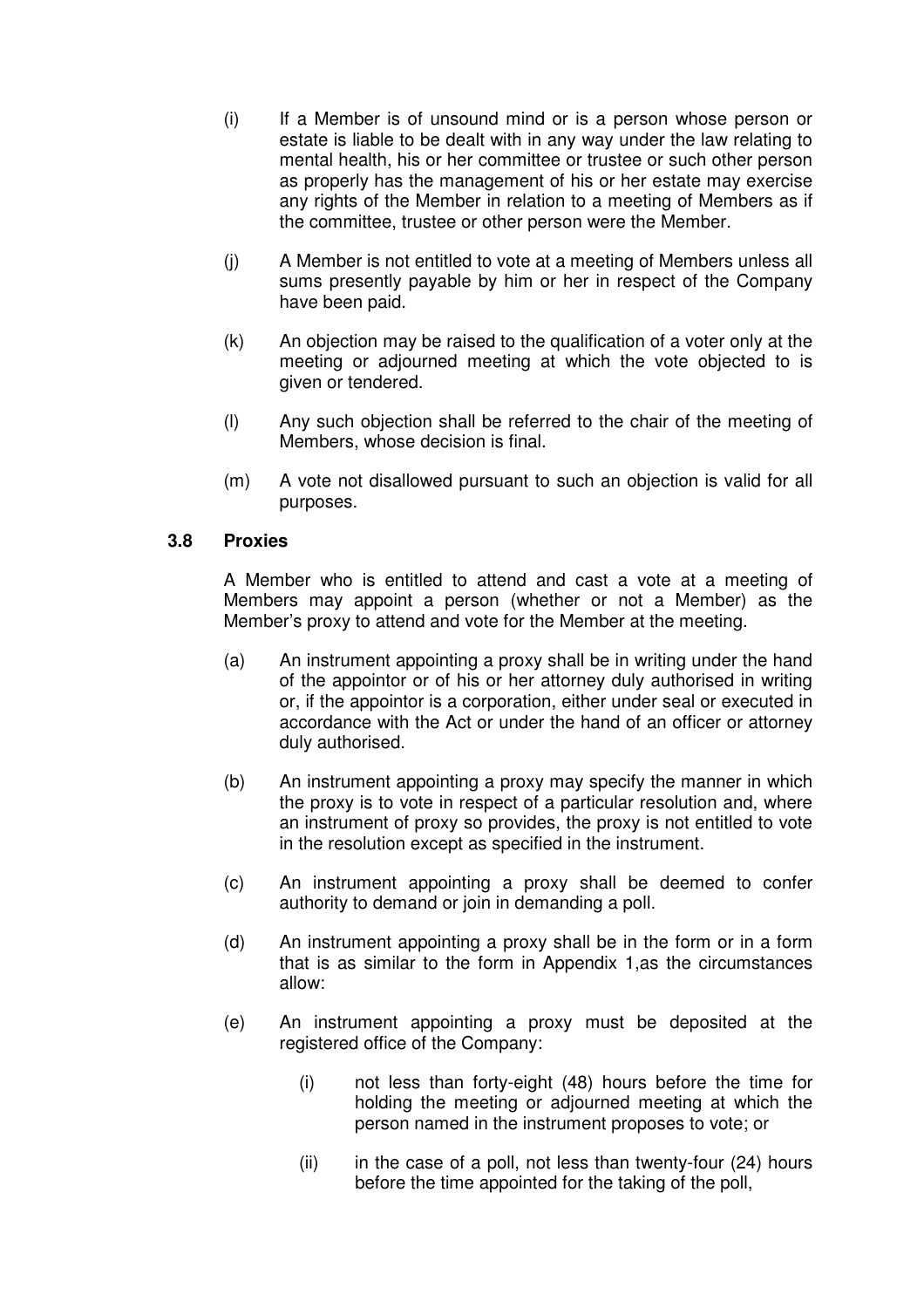- (i) If a Member is of unsound mind or is a person whose person or estate is liable to be dealt with in any way under the law relating to mental health, his or her committee or trustee or such other person as properly has the management of his or her estate may exercise any rights of the Member in relation to a meeting of Members as if the committee, trustee or other person were the Member.
- (j) A Member is not entitled to vote at a meeting of Members unless all sums presently payable by him or her in respect of the Company have been paid.
- (k) An objection may be raised to the qualification of a voter only at the meeting or adjourned meeting at which the vote objected to is given or tendered.
- (l) Any such objection shall be referred to the chair of the meeting of Members, whose decision is final.
- (m) A vote not disallowed pursuant to such an objection is valid for all purposes.

### **3.8 Proxies**

A Member who is entitled to attend and cast a vote at a meeting of Members may appoint a person (whether or not a Member) as the Member's proxy to attend and vote for the Member at the meeting.

- (a) An instrument appointing a proxy shall be in writing under the hand of the appointor or of his or her attorney duly authorised in writing or, if the appointor is a corporation, either under seal or executed in accordance with the Act or under the hand of an officer or attorney duly authorised.
- (b) An instrument appointing a proxy may specify the manner in which the proxy is to vote in respect of a particular resolution and, where an instrument of proxy so provides, the proxy is not entitled to vote in the resolution except as specified in the instrument.
- (c) An instrument appointing a proxy shall be deemed to confer authority to demand or join in demanding a poll.
- (d) An instrument appointing a proxy shall be in the form or in a form that is as similar to the form in Appendix 1,as the circumstances allow:
- (e) An instrument appointing a proxy must be deposited at the registered office of the Company:
	- (i) not less than forty-eight (48) hours before the time for holding the meeting or adjourned meeting at which the person named in the instrument proposes to vote; or
	- $(ii)$  in the case of a poll, not less than twenty-four (24) hours before the time appointed for the taking of the poll,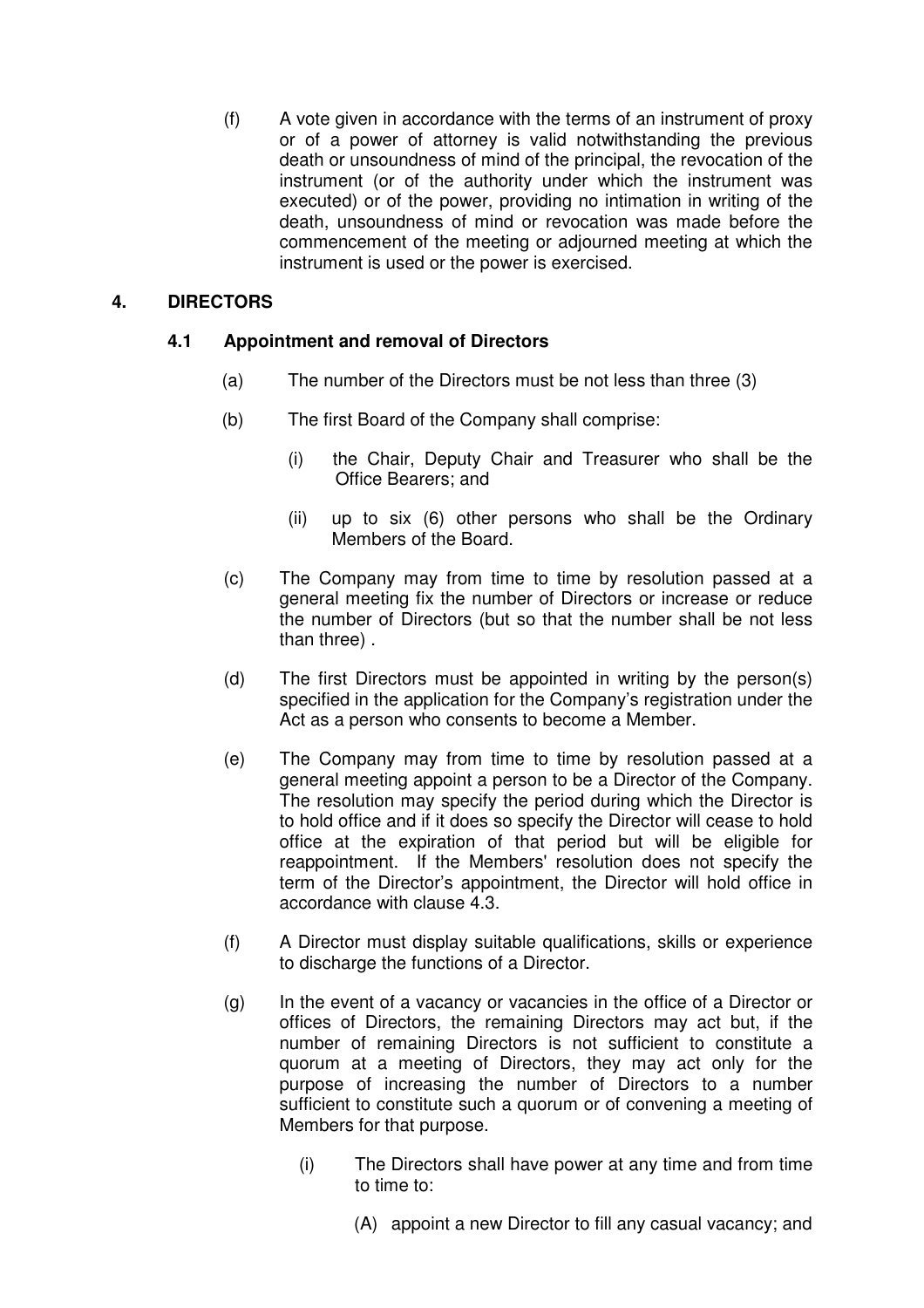(f) A vote given in accordance with the terms of an instrument of proxy or of a power of attorney is valid notwithstanding the previous death or unsoundness of mind of the principal, the revocation of the instrument (or of the authority under which the instrument was executed) or of the power, providing no intimation in writing of the death, unsoundness of mind or revocation was made before the commencement of the meeting or adjourned meeting at which the instrument is used or the power is exercised.

## **4. DIRECTORS**

## **4.1 Appointment and removal of Directors**

- (a) The number of the Directors must be not less than three (3)
- (b) The first Board of the Company shall comprise:
	- (i) the Chair, Deputy Chair and Treasurer who shall be the Office Bearers; and
	- (ii) up to six (6) other persons who shall be the Ordinary Members of the Board.
- (c) The Company may from time to time by resolution passed at a general meeting fix the number of Directors or increase or reduce the number of Directors (but so that the number shall be not less than three) .
- (d) The first Directors must be appointed in writing by the person(s) specified in the application for the Company's registration under the Act as a person who consents to become a Member.
- (e) The Company may from time to time by resolution passed at a general meeting appoint a person to be a Director of the Company. The resolution may specify the period during which the Director is to hold office and if it does so specify the Director will cease to hold office at the expiration of that period but will be eligible for reappointment. If the Members' resolution does not specify the term of the Director's appointment, the Director will hold office in accordance with clause 4.3.
- (f) A Director must display suitable qualifications, skills or experience to discharge the functions of a Director.
- (g) In the event of a vacancy or vacancies in the office of a Director or offices of Directors, the remaining Directors may act but, if the number of remaining Directors is not sufficient to constitute a quorum at a meeting of Directors, they may act only for the purpose of increasing the number of Directors to a number sufficient to constitute such a quorum or of convening a meeting of Members for that purpose.
	- (i) The Directors shall have power at any time and from time to time to:
		- (A) appoint a new Director to fill any casual vacancy; and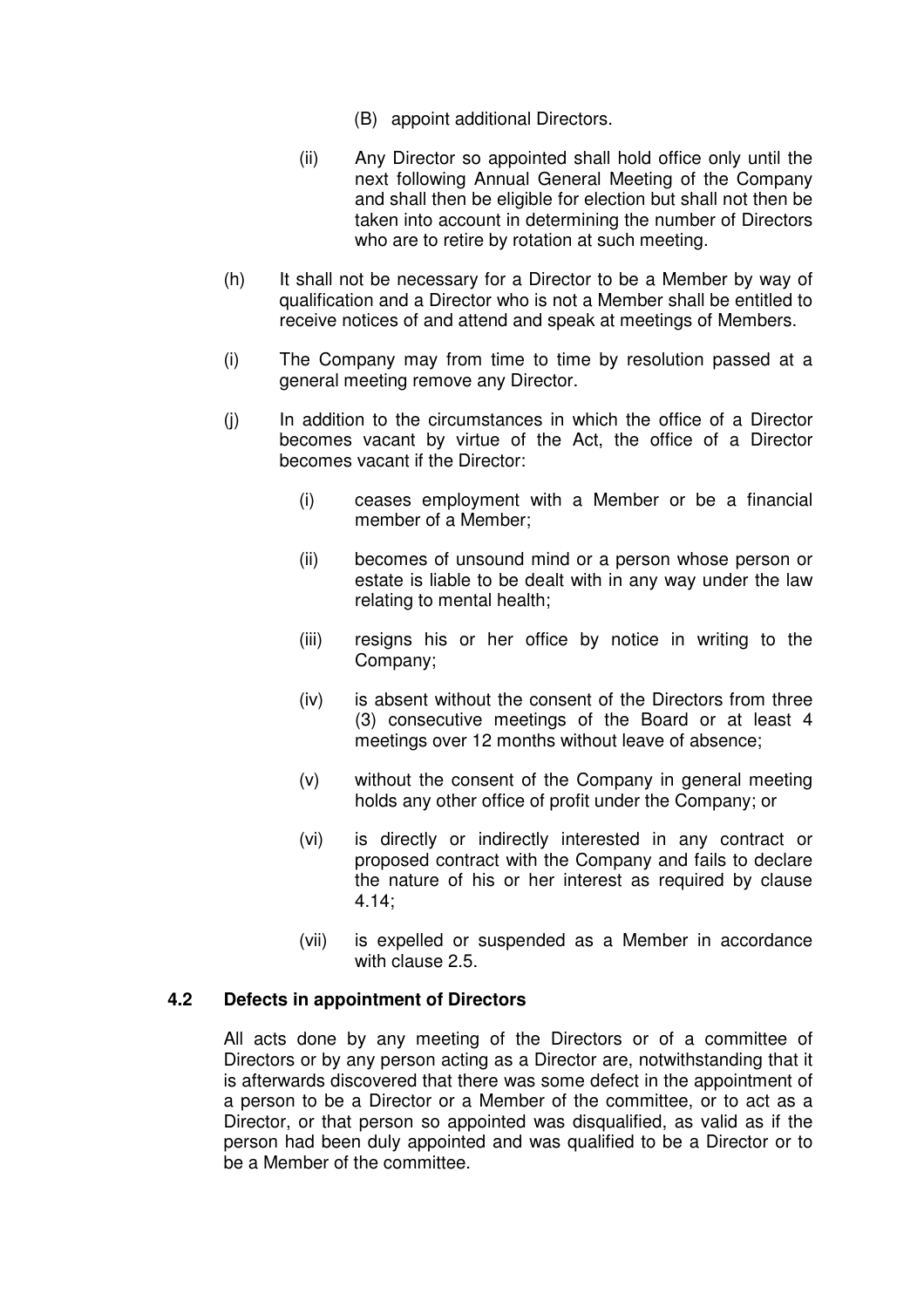- (B) appoint additional Directors.
- (ii) Any Director so appointed shall hold office only until the next following Annual General Meeting of the Company and shall then be eligible for election but shall not then be taken into account in determining the number of Directors who are to retire by rotation at such meeting.
- (h) It shall not be necessary for a Director to be a Member by way of qualification and a Director who is not a Member shall be entitled to receive notices of and attend and speak at meetings of Members.
- (i) The Company may from time to time by resolution passed at a general meeting remove any Director.
- (j) In addition to the circumstances in which the office of a Director becomes vacant by virtue of the Act, the office of a Director becomes vacant if the Director:
	- (i) ceases employment with a Member or be a financial member of a Member;
	- (ii) becomes of unsound mind or a person whose person or estate is liable to be dealt with in any way under the law relating to mental health;
	- (iii) resigns his or her office by notice in writing to the Company;
	- (iv) is absent without the consent of the Directors from three (3) consecutive meetings of the Board or at least 4 meetings over 12 months without leave of absence;
	- (v) without the consent of the Company in general meeting holds any other office of profit under the Company; or
	- (vi) is directly or indirectly interested in any contract or proposed contract with the Company and fails to declare the nature of his or her interest as required by clause 4.14;
	- (vii) is expelled or suspended as a Member in accordance with clause 2.5.

### **4.2 Defects in appointment of Directors**

All acts done by any meeting of the Directors or of a committee of Directors or by any person acting as a Director are, notwithstanding that it is afterwards discovered that there was some defect in the appointment of a person to be a Director or a Member of the committee, or to act as a Director, or that person so appointed was disqualified, as valid as if the person had been duly appointed and was qualified to be a Director or to be a Member of the committee.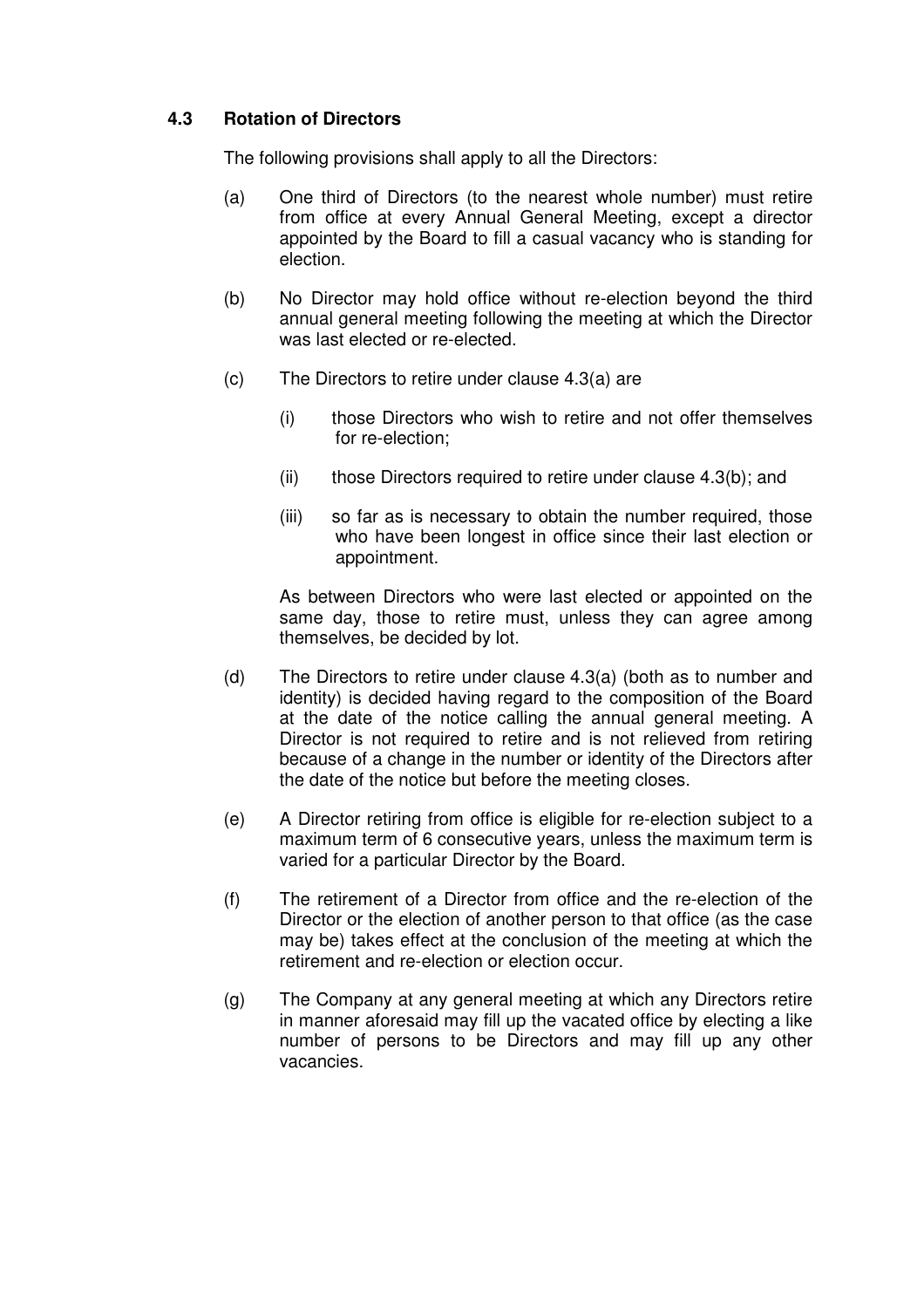## **4.3 Rotation of Directors**

The following provisions shall apply to all the Directors:

- (a) One third of Directors (to the nearest whole number) must retire from office at every Annual General Meeting, except a director appointed by the Board to fill a casual vacancy who is standing for election.
- (b) No Director may hold office without re-election beyond the third annual general meeting following the meeting at which the Director was last elected or re-elected.
- (c) The Directors to retire under clause 4.3(a) are
	- (i) those Directors who wish to retire and not offer themselves for re-election;
	- $(i)$  those Directors required to retire under clause 4.3(b); and
	- (iii) so far as is necessary to obtain the number required, those who have been longest in office since their last election or appointment.

As between Directors who were last elected or appointed on the same day, those to retire must, unless they can agree among themselves, be decided by lot.

- (d) The Directors to retire under clause 4.3(a) (both as to number and identity) is decided having regard to the composition of the Board at the date of the notice calling the annual general meeting. A Director is not required to retire and is not relieved from retiring because of a change in the number or identity of the Directors after the date of the notice but before the meeting closes.
- (e) A Director retiring from office is eligible for re-election subject to a maximum term of 6 consecutive years, unless the maximum term is varied for a particular Director by the Board.
- (f) The retirement of a Director from office and the re-election of the Director or the election of another person to that office (as the case may be) takes effect at the conclusion of the meeting at which the retirement and re-election or election occur.
- (g) The Company at any general meeting at which any Directors retire in manner aforesaid may fill up the vacated office by electing a like number of persons to be Directors and may fill up any other vacancies.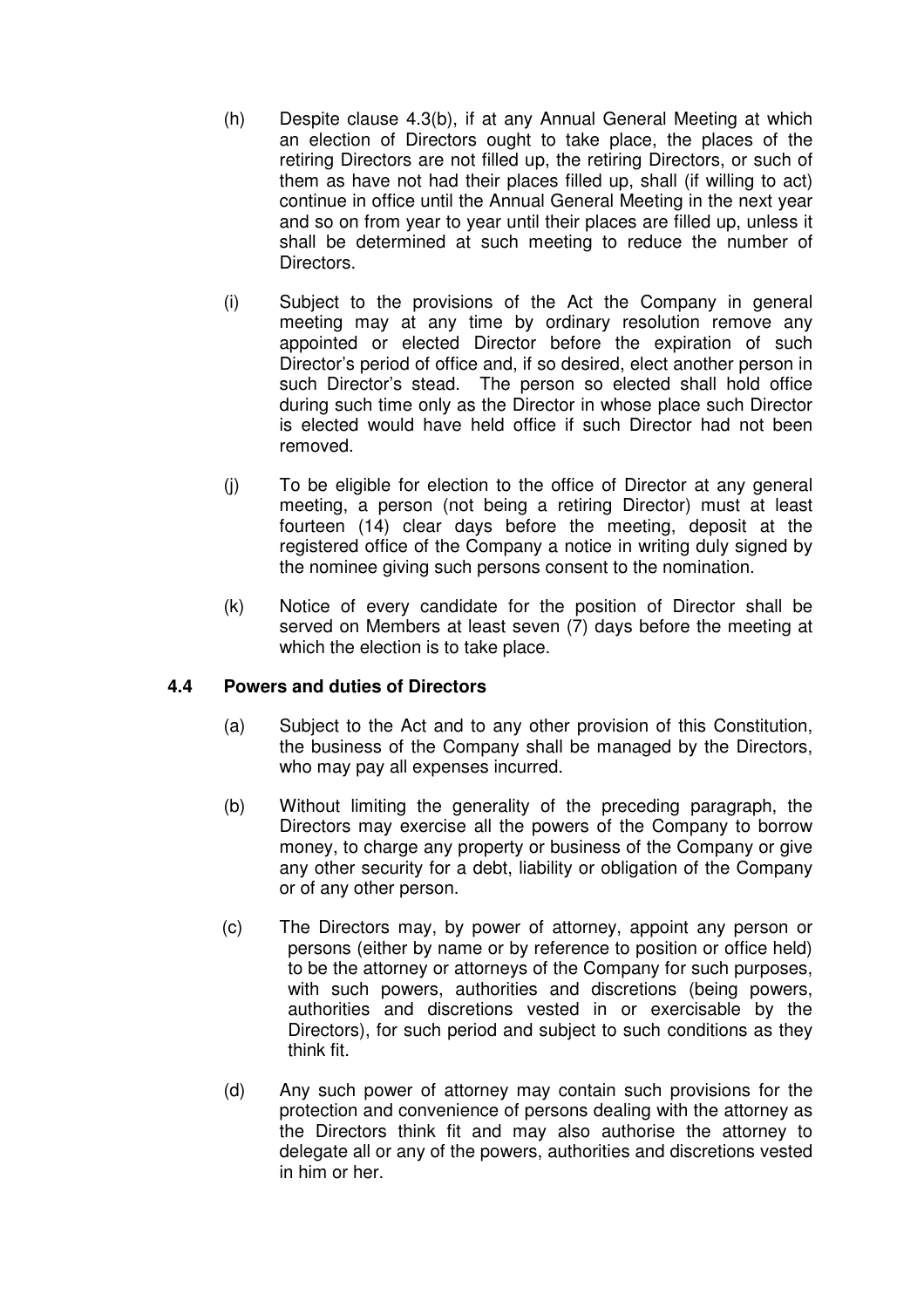- (h) Despite clause 4.3(b), if at any Annual General Meeting at which an election of Directors ought to take place, the places of the retiring Directors are not filled up, the retiring Directors, or such of them as have not had their places filled up, shall (if willing to act) continue in office until the Annual General Meeting in the next year and so on from year to year until their places are filled up, unless it shall be determined at such meeting to reduce the number of Directors.
- (i) Subject to the provisions of the Act the Company in general meeting may at any time by ordinary resolution remove any appointed or elected Director before the expiration of such Director's period of office and, if so desired, elect another person in such Director's stead. The person so elected shall hold office during such time only as the Director in whose place such Director is elected would have held office if such Director had not been removed.
- (j) To be eligible for election to the office of Director at any general meeting, a person (not being a retiring Director) must at least fourteen (14) clear days before the meeting, deposit at the registered office of the Company a notice in writing duly signed by the nominee giving such persons consent to the nomination.
- (k) Notice of every candidate for the position of Director shall be served on Members at least seven (7) days before the meeting at which the election is to take place.

## **4.4 Powers and duties of Directors**

- (a) Subject to the Act and to any other provision of this Constitution, the business of the Company shall be managed by the Directors, who may pay all expenses incurred.
- (b) Without limiting the generality of the preceding paragraph, the Directors may exercise all the powers of the Company to borrow money, to charge any property or business of the Company or give any other security for a debt, liability or obligation of the Company or of any other person.
- (c) The Directors may, by power of attorney, appoint any person or persons (either by name or by reference to position or office held) to be the attorney or attorneys of the Company for such purposes, with such powers, authorities and discretions (being powers, authorities and discretions vested in or exercisable by the Directors), for such period and subject to such conditions as they think fit.
- (d) Any such power of attorney may contain such provisions for the protection and convenience of persons dealing with the attorney as the Directors think fit and may also authorise the attorney to delegate all or any of the powers, authorities and discretions vested in him or her.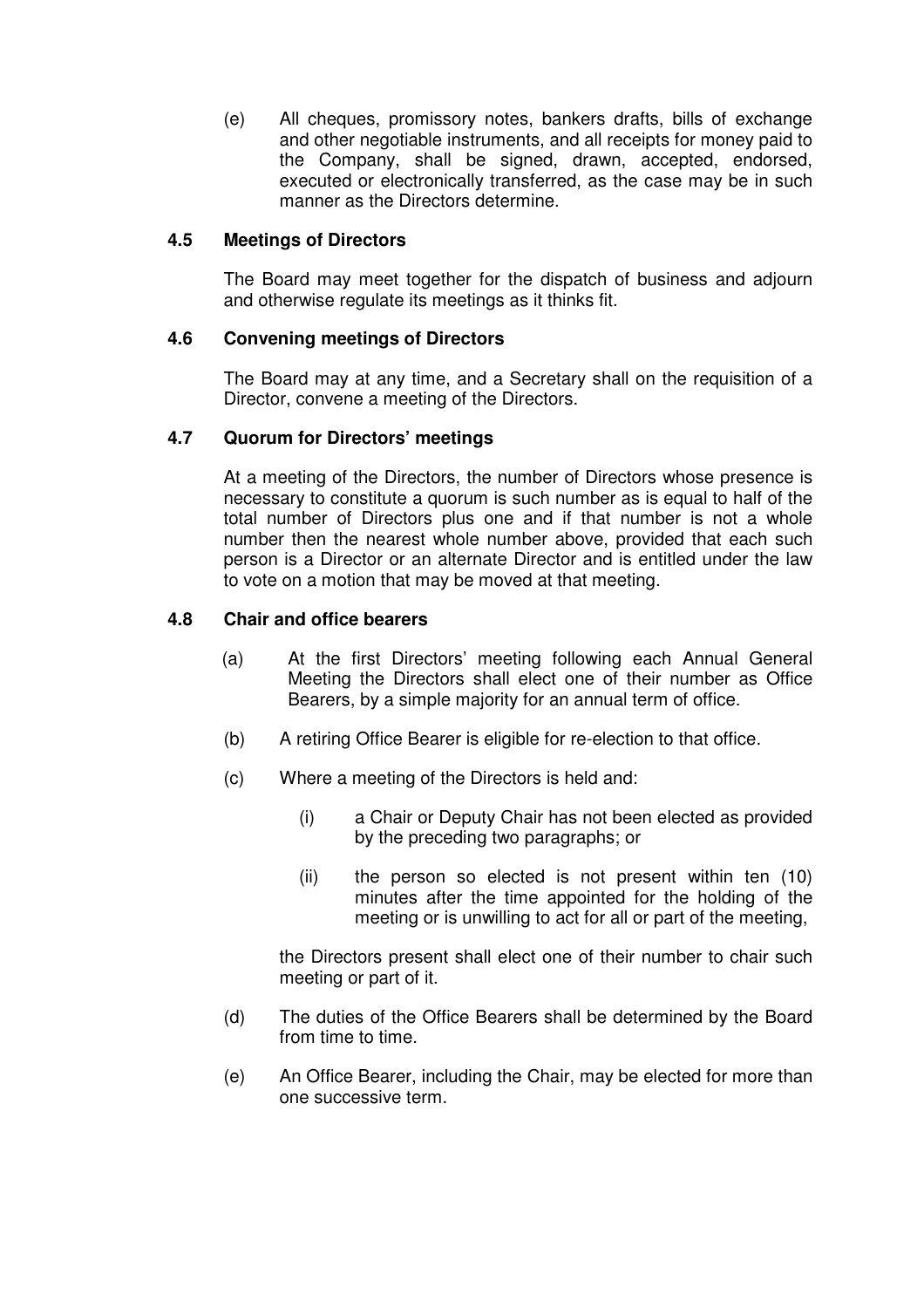(e) All cheques, promissory notes, bankers drafts, bills of exchange and other negotiable instruments, and all receipts for money paid to the Company, shall be signed, drawn, accepted, endorsed, executed or electronically transferred, as the case may be in such manner as the Directors determine.

### **4.5 Meetings of Directors**

The Board may meet together for the dispatch of business and adjourn and otherwise regulate its meetings as it thinks fit.

### **4.6 Convening meetings of Directors**

The Board may at any time, and a Secretary shall on the requisition of a Director, convene a meeting of the Directors.

### **4.7 Quorum for Directors' meetings**

At a meeting of the Directors, the number of Directors whose presence is necessary to constitute a quorum is such number as is equal to half of the total number of Directors plus one and if that number is not a whole number then the nearest whole number above, provided that each such person is a Director or an alternate Director and is entitled under the law to vote on a motion that may be moved at that meeting.

#### **4.8 Chair and office bearers**

- (a) At the first Directors' meeting following each Annual General Meeting the Directors shall elect one of their number as Office Bearers, by a simple majority for an annual term of office.
- (b) A retiring Office Bearer is eligible for re-election to that office.
- (c) Where a meeting of the Directors is held and:
	- (i) a Chair or Deputy Chair has not been elected as provided by the preceding two paragraphs; or
	- (ii) the person so elected is not present within ten (10) minutes after the time appointed for the holding of the meeting or is unwilling to act for all or part of the meeting,

the Directors present shall elect one of their number to chair such meeting or part of it.

- (d) The duties of the Office Bearers shall be determined by the Board from time to time.
- (e) An Office Bearer, including the Chair, may be elected for more than one successive term.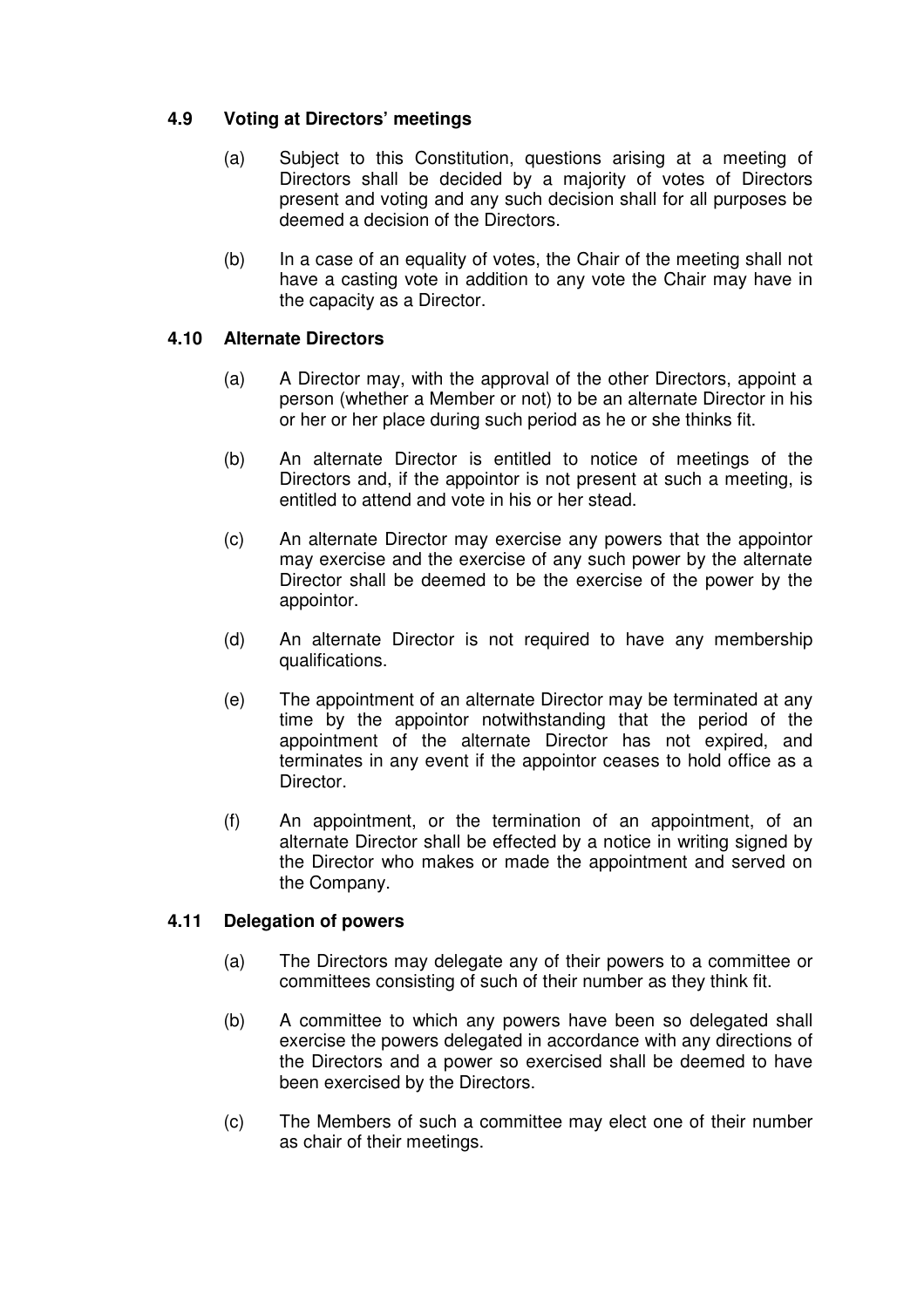## **4.9 Voting at Directors' meetings**

- (a) Subject to this Constitution, questions arising at a meeting of Directors shall be decided by a majority of votes of Directors present and voting and any such decision shall for all purposes be deemed a decision of the Directors.
- (b) In a case of an equality of votes, the Chair of the meeting shall not have a casting vote in addition to any vote the Chair may have in the capacity as a Director.

## **4.10 Alternate Directors**

- (a) A Director may, with the approval of the other Directors, appoint a person (whether a Member or not) to be an alternate Director in his or her or her place during such period as he or she thinks fit.
- (b) An alternate Director is entitled to notice of meetings of the Directors and, if the appointor is not present at such a meeting, is entitled to attend and vote in his or her stead.
- (c) An alternate Director may exercise any powers that the appointor may exercise and the exercise of any such power by the alternate Director shall be deemed to be the exercise of the power by the appointor.
- (d) An alternate Director is not required to have any membership qualifications.
- (e) The appointment of an alternate Director may be terminated at any time by the appointor notwithstanding that the period of the appointment of the alternate Director has not expired, and terminates in any event if the appointor ceases to hold office as a Director.
- (f) An appointment, or the termination of an appointment, of an alternate Director shall be effected by a notice in writing signed by the Director who makes or made the appointment and served on the Company.

## **4.11 Delegation of powers**

- (a) The Directors may delegate any of their powers to a committee or committees consisting of such of their number as they think fit.
- (b) A committee to which any powers have been so delegated shall exercise the powers delegated in accordance with any directions of the Directors and a power so exercised shall be deemed to have been exercised by the Directors.
- (c) The Members of such a committee may elect one of their number as chair of their meetings.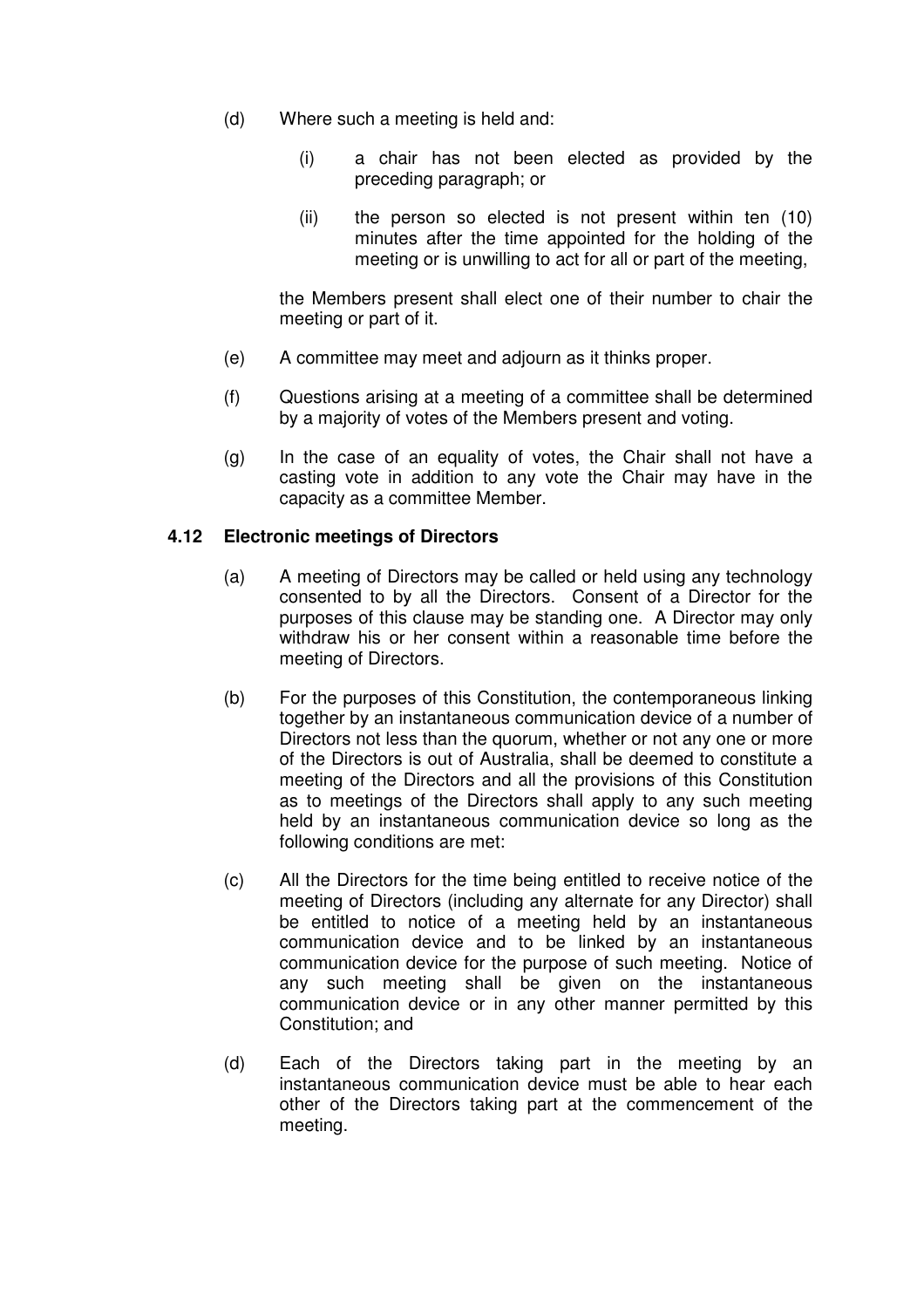- (d) Where such a meeting is held and:
	- (i) a chair has not been elected as provided by the preceding paragraph; or
	- (ii) the person so elected is not present within ten (10) minutes after the time appointed for the holding of the meeting or is unwilling to act for all or part of the meeting,

the Members present shall elect one of their number to chair the meeting or part of it.

- (e) A committee may meet and adjourn as it thinks proper.
- (f) Questions arising at a meeting of a committee shall be determined by a majority of votes of the Members present and voting.
- (g) In the case of an equality of votes, the Chair shall not have a casting vote in addition to any vote the Chair may have in the capacity as a committee Member.

## **4.12 Electronic meetings of Directors**

- (a) A meeting of Directors may be called or held using any technology consented to by all the Directors. Consent of a Director for the purposes of this clause may be standing one. A Director may only withdraw his or her consent within a reasonable time before the meeting of Directors.
- (b) For the purposes of this Constitution, the contemporaneous linking together by an instantaneous communication device of a number of Directors not less than the quorum, whether or not any one or more of the Directors is out of Australia, shall be deemed to constitute a meeting of the Directors and all the provisions of this Constitution as to meetings of the Directors shall apply to any such meeting held by an instantaneous communication device so long as the following conditions are met:
- (c) All the Directors for the time being entitled to receive notice of the meeting of Directors (including any alternate for any Director) shall be entitled to notice of a meeting held by an instantaneous communication device and to be linked by an instantaneous communication device for the purpose of such meeting. Notice of any such meeting shall be given on the instantaneous communication device or in any other manner permitted by this Constitution; and
- (d) Each of the Directors taking part in the meeting by an instantaneous communication device must be able to hear each other of the Directors taking part at the commencement of the meeting.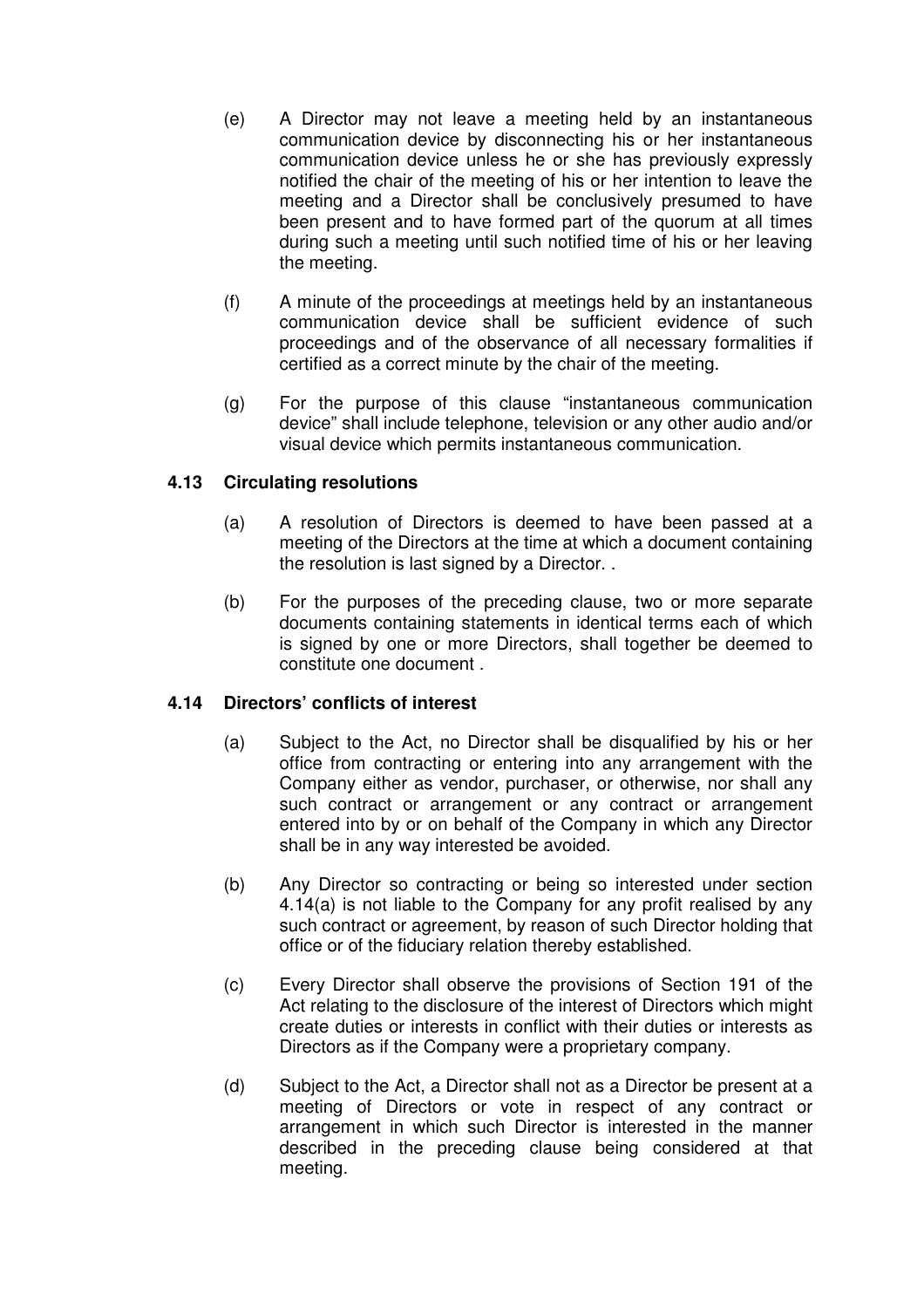- (e) A Director may not leave a meeting held by an instantaneous communication device by disconnecting his or her instantaneous communication device unless he or she has previously expressly notified the chair of the meeting of his or her intention to leave the meeting and a Director shall be conclusively presumed to have been present and to have formed part of the quorum at all times during such a meeting until such notified time of his or her leaving the meeting.
- (f) A minute of the proceedings at meetings held by an instantaneous communication device shall be sufficient evidence of such proceedings and of the observance of all necessary formalities if certified as a correct minute by the chair of the meeting.
- (g) For the purpose of this clause "instantaneous communication device" shall include telephone, television or any other audio and/or visual device which permits instantaneous communication.

## **4.13 Circulating resolutions**

- (a) A resolution of Directors is deemed to have been passed at a meeting of the Directors at the time at which a document containing the resolution is last signed by a Director. .
- (b) For the purposes of the preceding clause, two or more separate documents containing statements in identical terms each of which is signed by one or more Directors, shall together be deemed to constitute one document .

## **4.14 Directors' conflicts of interest**

- (a) Subject to the Act, no Director shall be disqualified by his or her office from contracting or entering into any arrangement with the Company either as vendor, purchaser, or otherwise, nor shall any such contract or arrangement or any contract or arrangement entered into by or on behalf of the Company in which any Director shall be in any way interested be avoided.
- (b) Any Director so contracting or being so interested under section 4.14(a) is not liable to the Company for any profit realised by any such contract or agreement, by reason of such Director holding that office or of the fiduciary relation thereby established.
- (c) Every Director shall observe the provisions of Section 191 of the Act relating to the disclosure of the interest of Directors which might create duties or interests in conflict with their duties or interests as Directors as if the Company were a proprietary company.
- (d) Subject to the Act, a Director shall not as a Director be present at a meeting of Directors or vote in respect of any contract or arrangement in which such Director is interested in the manner described in the preceding clause being considered at that meeting.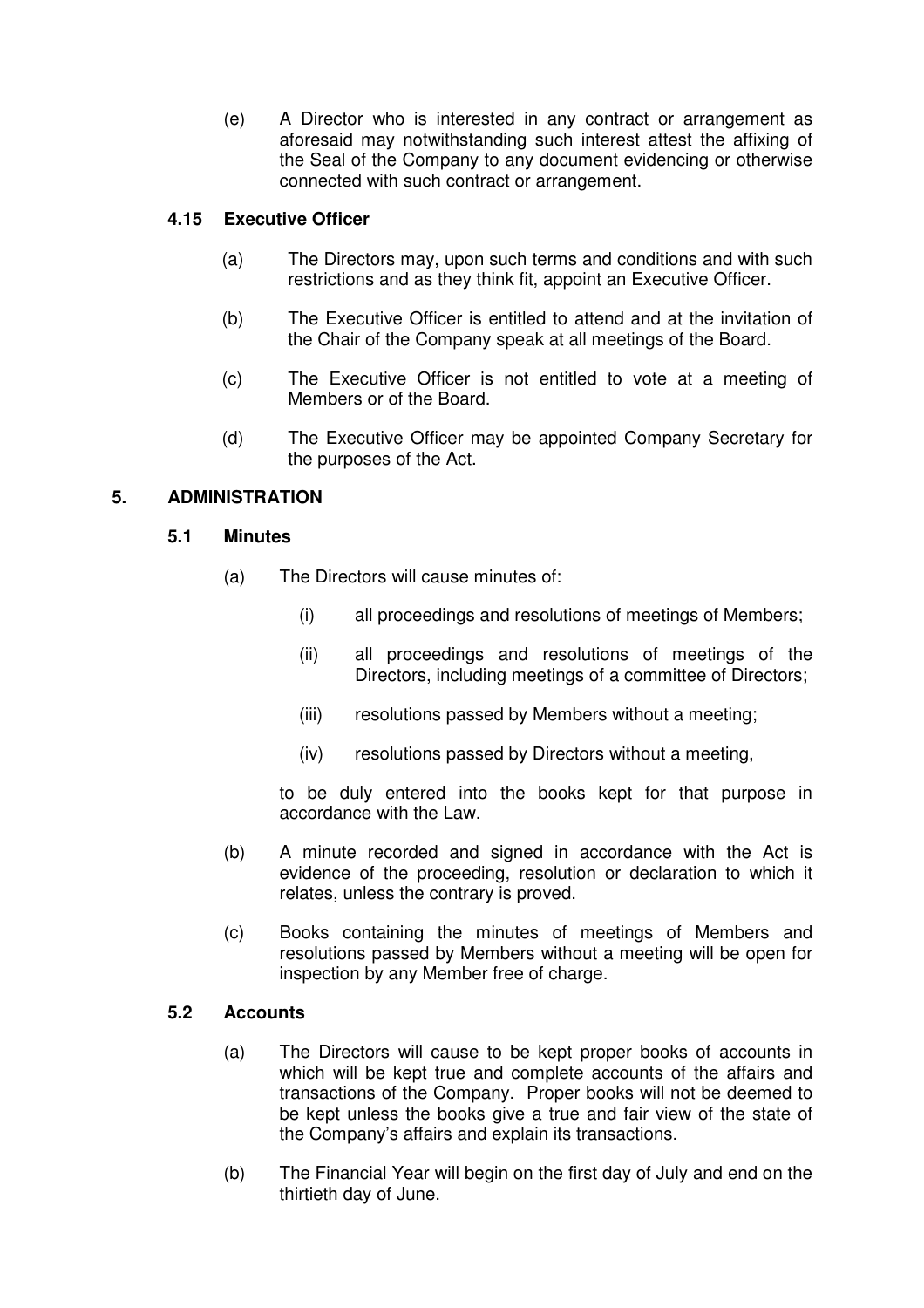(e) A Director who is interested in any contract or arrangement as aforesaid may notwithstanding such interest attest the affixing of the Seal of the Company to any document evidencing or otherwise connected with such contract or arrangement.

## **4.15 Executive Officer**

- (a) The Directors may, upon such terms and conditions and with such restrictions and as they think fit, appoint an Executive Officer.
- (b) The Executive Officer is entitled to attend and at the invitation of the Chair of the Company speak at all meetings of the Board.
- (c) The Executive Officer is not entitled to vote at a meeting of Members or of the Board.
- (d) The Executive Officer may be appointed Company Secretary for the purposes of the Act.

## **5. ADMINISTRATION**

### **5.1 Minutes**

- (a) The Directors will cause minutes of:
	- (i) all proceedings and resolutions of meetings of Members;
	- (ii) all proceedings and resolutions of meetings of the Directors, including meetings of a committee of Directors;
	- (iii) resolutions passed by Members without a meeting;
	- (iv) resolutions passed by Directors without a meeting,

to be duly entered into the books kept for that purpose in accordance with the Law.

- (b) A minute recorded and signed in accordance with the Act is evidence of the proceeding, resolution or declaration to which it relates, unless the contrary is proved.
- (c) Books containing the minutes of meetings of Members and resolutions passed by Members without a meeting will be open for inspection by any Member free of charge.

### **5.2 Accounts**

- (a) The Directors will cause to be kept proper books of accounts in which will be kept true and complete accounts of the affairs and transactions of the Company. Proper books will not be deemed to be kept unless the books give a true and fair view of the state of the Company's affairs and explain its transactions.
- (b) The Financial Year will begin on the first day of July and end on the thirtieth day of June.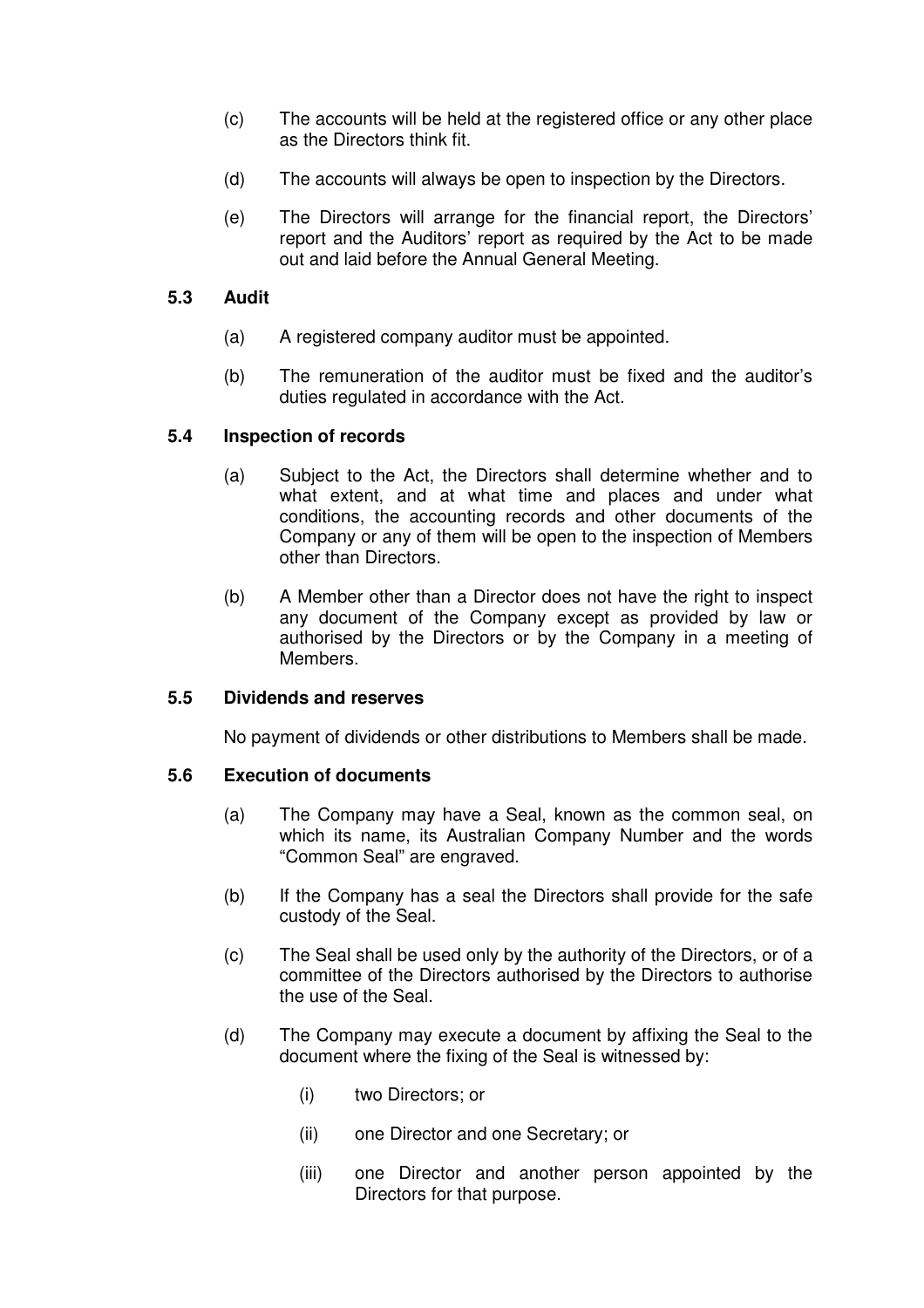- (c) The accounts will be held at the registered office or any other place as the Directors think fit.
- (d) The accounts will always be open to inspection by the Directors.
- (e) The Directors will arrange for the financial report, the Directors' report and the Auditors' report as required by the Act to be made out and laid before the Annual General Meeting.

### **5.3 Audit**

- (a) A registered company auditor must be appointed.
- (b) The remuneration of the auditor must be fixed and the auditor's duties regulated in accordance with the Act.

## **5.4 Inspection of records**

- (a) Subject to the Act, the Directors shall determine whether and to what extent, and at what time and places and under what conditions, the accounting records and other documents of the Company or any of them will be open to the inspection of Members other than Directors.
- (b) A Member other than a Director does not have the right to inspect any document of the Company except as provided by law or authorised by the Directors or by the Company in a meeting of Members.

#### **5.5 Dividends and reserves**

No payment of dividends or other distributions to Members shall be made.

## **5.6 Execution of documents**

- (a) The Company may have a Seal, known as the common seal, on which its name, its Australian Company Number and the words "Common Seal" are engraved.
- (b) If the Company has a seal the Directors shall provide for the safe custody of the Seal.
- (c) The Seal shall be used only by the authority of the Directors, or of a committee of the Directors authorised by the Directors to authorise the use of the Seal.
- (d) The Company may execute a document by affixing the Seal to the document where the fixing of the Seal is witnessed by:
	- (i) two Directors; or
	- (ii) one Director and one Secretary; or
	- (iii) one Director and another person appointed by the Directors for that purpose.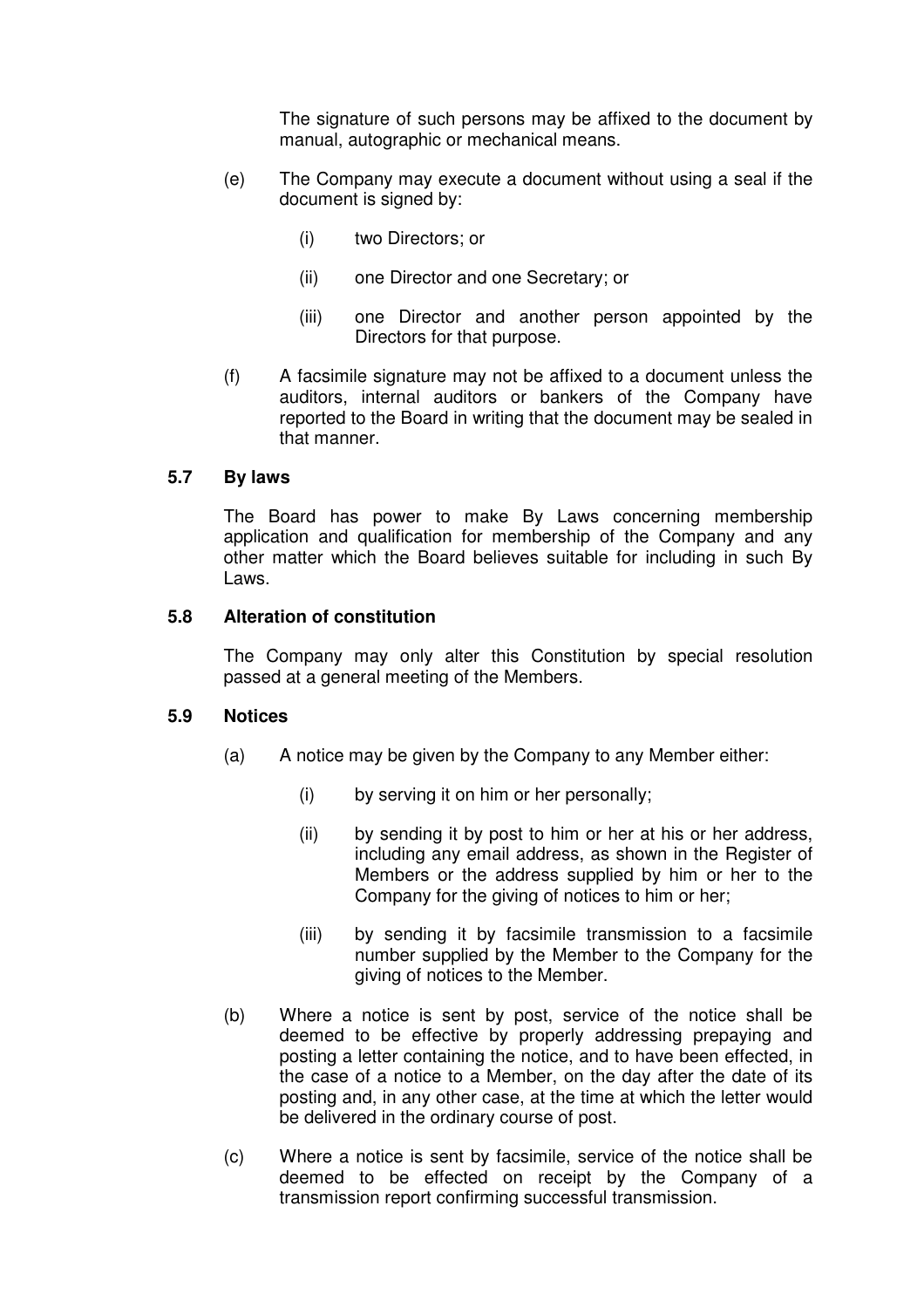The signature of such persons may be affixed to the document by manual, autographic or mechanical means.

- (e) The Company may execute a document without using a seal if the document is signed by:
	- (i) two Directors; or
	- (ii) one Director and one Secretary; or
	- (iii) one Director and another person appointed by the Directors for that purpose.
- (f) A facsimile signature may not be affixed to a document unless the auditors, internal auditors or bankers of the Company have reported to the Board in writing that the document may be sealed in that manner.

#### **5.7 By laws**

The Board has power to make By Laws concerning membership application and qualification for membership of the Company and any other matter which the Board believes suitable for including in such By Laws.

#### **5.8 Alteration of constitution**

The Company may only alter this Constitution by special resolution passed at a general meeting of the Members.

#### **5.9 Notices**

- (a) A notice may be given by the Company to any Member either:
	- (i) by serving it on him or her personally;
	- (ii) by sending it by post to him or her at his or her address, including any email address, as shown in the Register of Members or the address supplied by him or her to the Company for the giving of notices to him or her;
	- (iii) by sending it by facsimile transmission to a facsimile number supplied by the Member to the Company for the giving of notices to the Member.
- (b) Where a notice is sent by post, service of the notice shall be deemed to be effective by properly addressing prepaying and posting a letter containing the notice, and to have been effected, in the case of a notice to a Member, on the day after the date of its posting and, in any other case, at the time at which the letter would be delivered in the ordinary course of post.
- (c) Where a notice is sent by facsimile, service of the notice shall be deemed to be effected on receipt by the Company of a transmission report confirming successful transmission.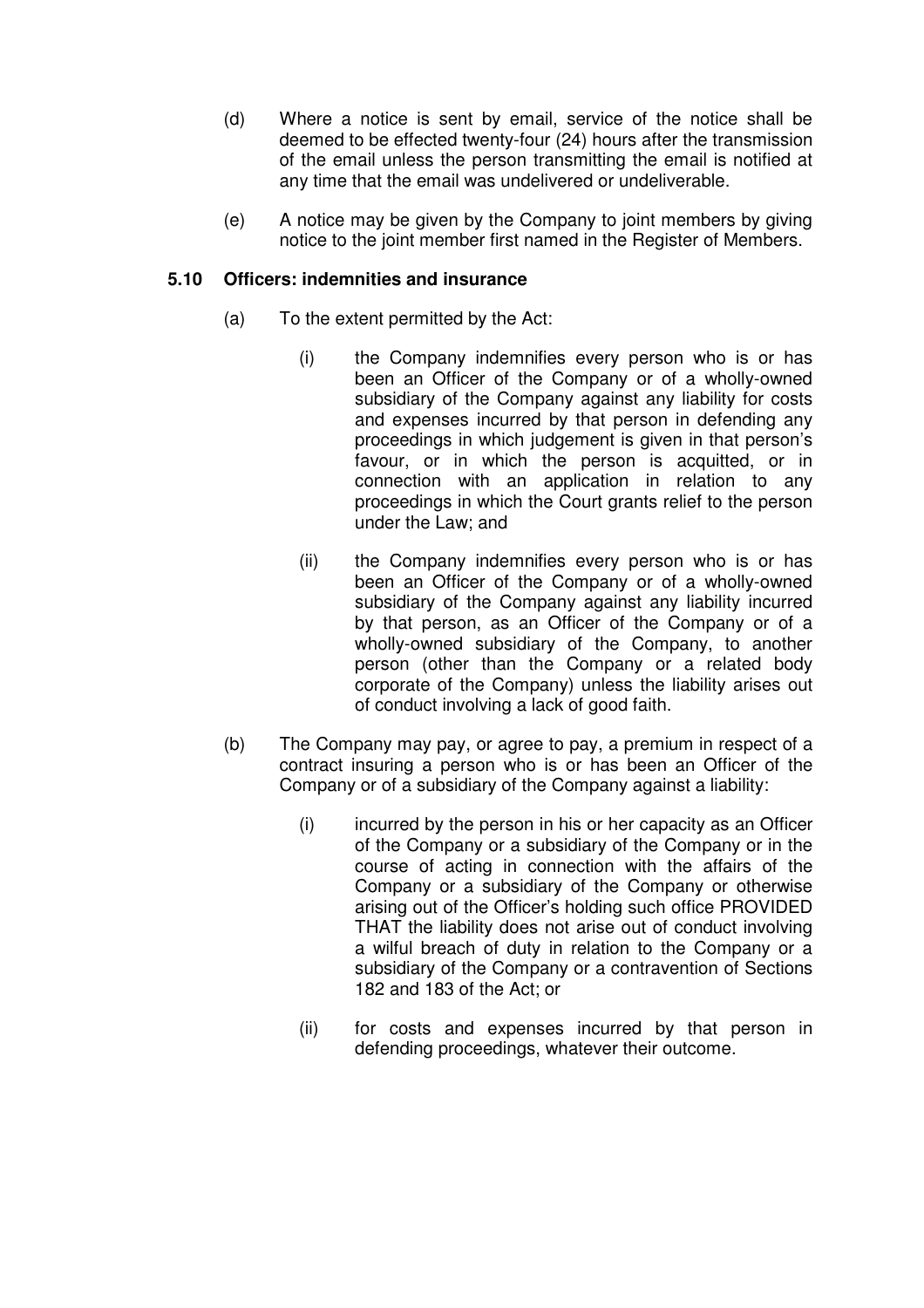- (d) Where a notice is sent by email, service of the notice shall be deemed to be effected twenty-four (24) hours after the transmission of the email unless the person transmitting the email is notified at any time that the email was undelivered or undeliverable.
- (e) A notice may be given by the Company to joint members by giving notice to the joint member first named in the Register of Members.

#### **5.10 Officers: indemnities and insurance**

- (a) To the extent permitted by the Act:
	- (i) the Company indemnifies every person who is or has been an Officer of the Company or of a wholly-owned subsidiary of the Company against any liability for costs and expenses incurred by that person in defending any proceedings in which judgement is given in that person's favour, or in which the person is acquitted, or in connection with an application in relation to any proceedings in which the Court grants relief to the person under the Law; and
	- (ii) the Company indemnifies every person who is or has been an Officer of the Company or of a wholly-owned subsidiary of the Company against any liability incurred by that person, as an Officer of the Company or of a wholly-owned subsidiary of the Company, to another person (other than the Company or a related body corporate of the Company) unless the liability arises out of conduct involving a lack of good faith.
- (b) The Company may pay, or agree to pay, a premium in respect of a contract insuring a person who is or has been an Officer of the Company or of a subsidiary of the Company against a liability:
	- $(i)$  incurred by the person in his or her capacity as an Officer of the Company or a subsidiary of the Company or in the course of acting in connection with the affairs of the Company or a subsidiary of the Company or otherwise arising out of the Officer's holding such office PROVIDED THAT the liability does not arise out of conduct involving a wilful breach of duty in relation to the Company or a subsidiary of the Company or a contravention of Sections 182 and 183 of the Act; or
	- (ii) for costs and expenses incurred by that person in defending proceedings, whatever their outcome.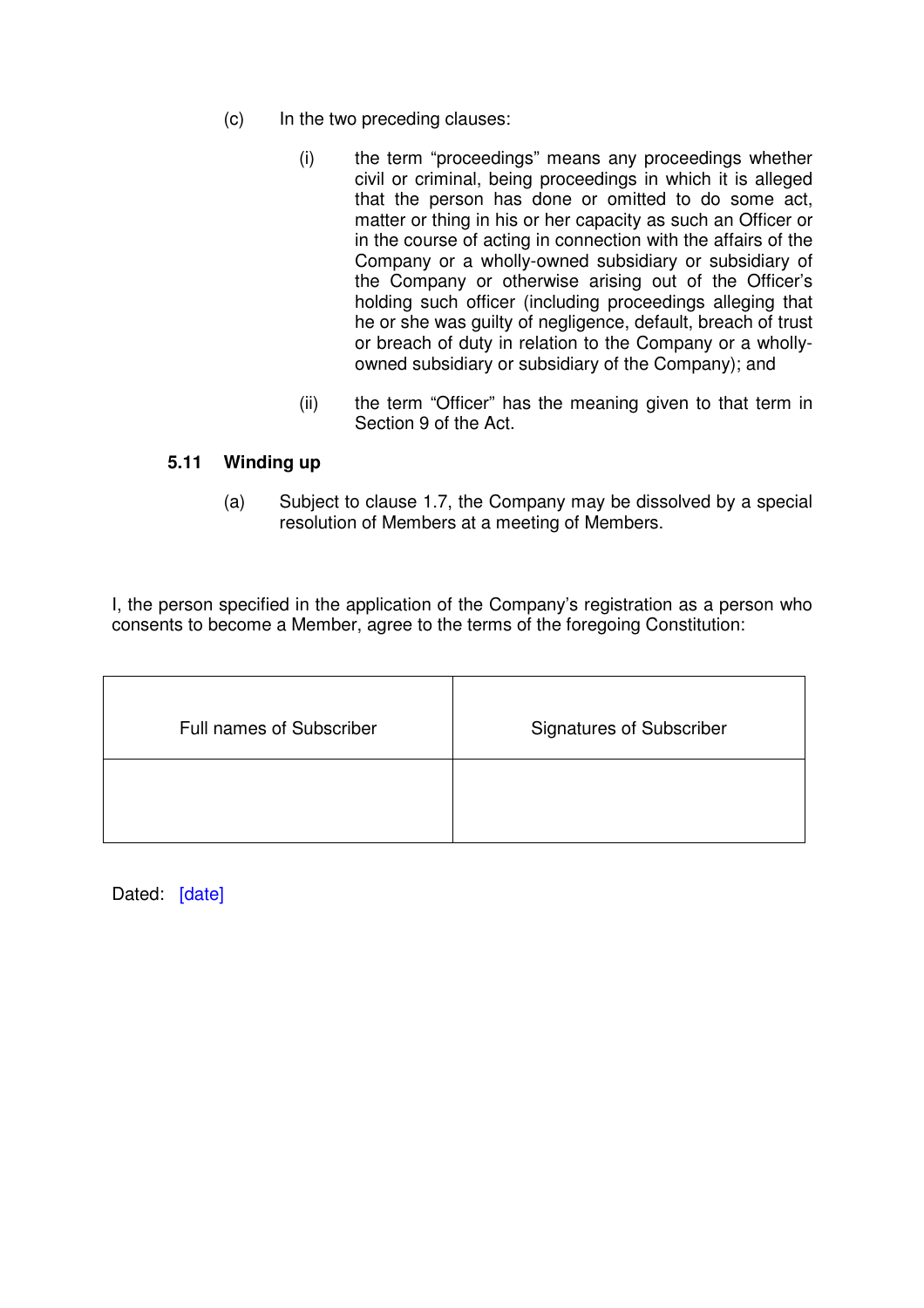- (c) In the two preceding clauses:
	- (i) the term "proceedings" means any proceedings whether civil or criminal, being proceedings in which it is alleged that the person has done or omitted to do some act, matter or thing in his or her capacity as such an Officer or in the course of acting in connection with the affairs of the Company or a wholly-owned subsidiary or subsidiary of the Company or otherwise arising out of the Officer's holding such officer (including proceedings alleging that he or she was guilty of negligence, default, breach of trust or breach of duty in relation to the Company or a whollyowned subsidiary or subsidiary of the Company); and
	- (ii) the term "Officer" has the meaning given to that term in Section 9 of the Act.

## **5.11 Winding up**

(a) Subject to clause 1.7, the Company may be dissolved by a special resolution of Members at a meeting of Members.

I, the person specified in the application of the Company's registration as a person who consents to become a Member, agree to the terms of the foregoing Constitution:

| Full names of Subscriber | <b>Signatures of Subscriber</b> |
|--------------------------|---------------------------------|
|                          |                                 |

Dated: [date]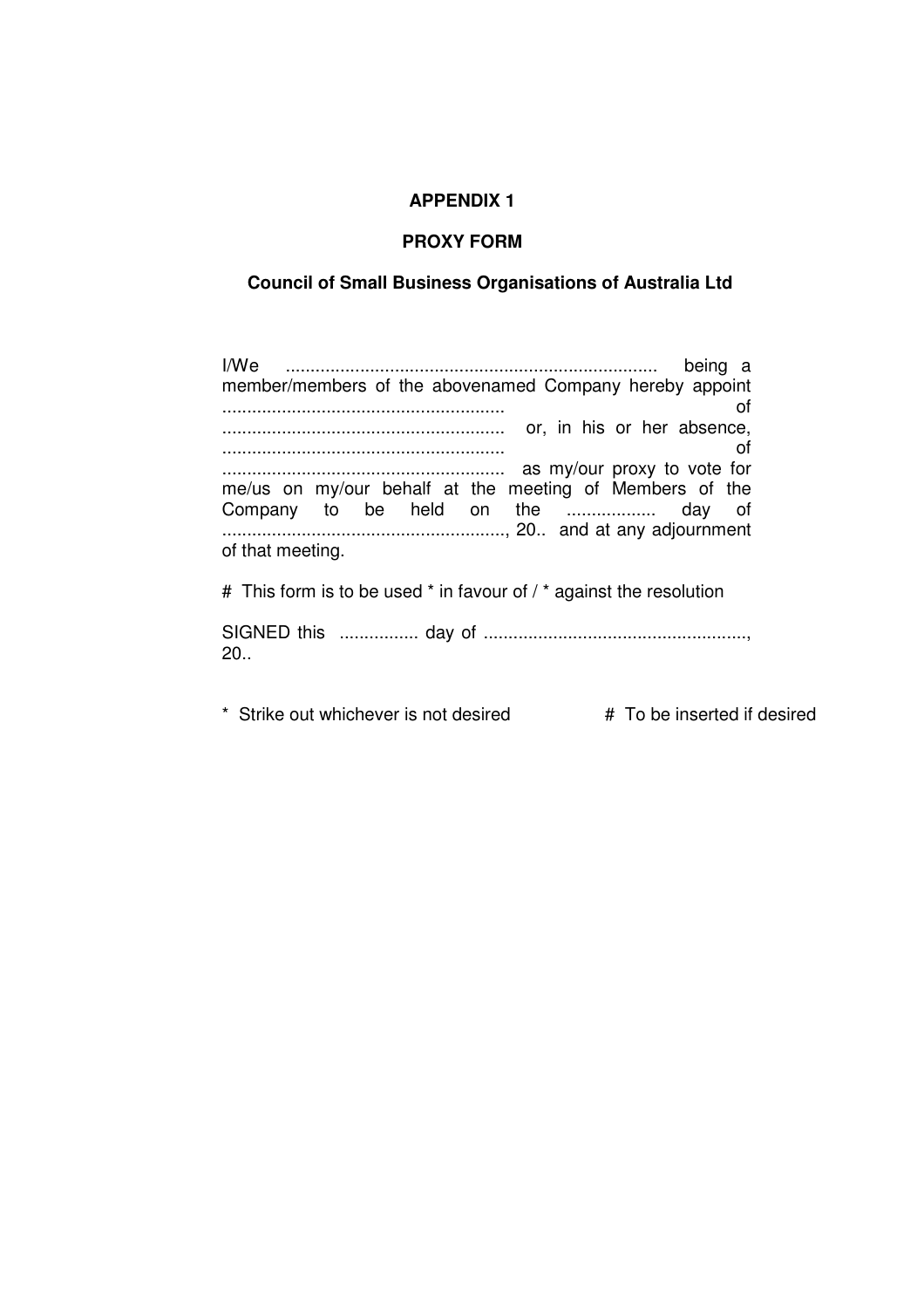#### **APPENDIX 1**

#### **PROXY FORM**

#### **Council of Small Business Organisations of Australia Ltd**

I/We ........................................................................... being a member/members of the abovenamed Company hereby appoint ......................................................... of ......................................................... or, in his or her absence, ......................................................... of ......................................................... as my/our proxy to vote for me/us on my/our behalf at the meeting of Members of the Company to be held on the .................. day of ........................................................., 20.. and at any adjournment of that meeting.

# This form is to be used \* in favour of / \* against the resolution

SIGNED this ................ day of ....................................................., 20..

\* Strike out whichever is not desired  $\overrightarrow{H}$  To be inserted if desired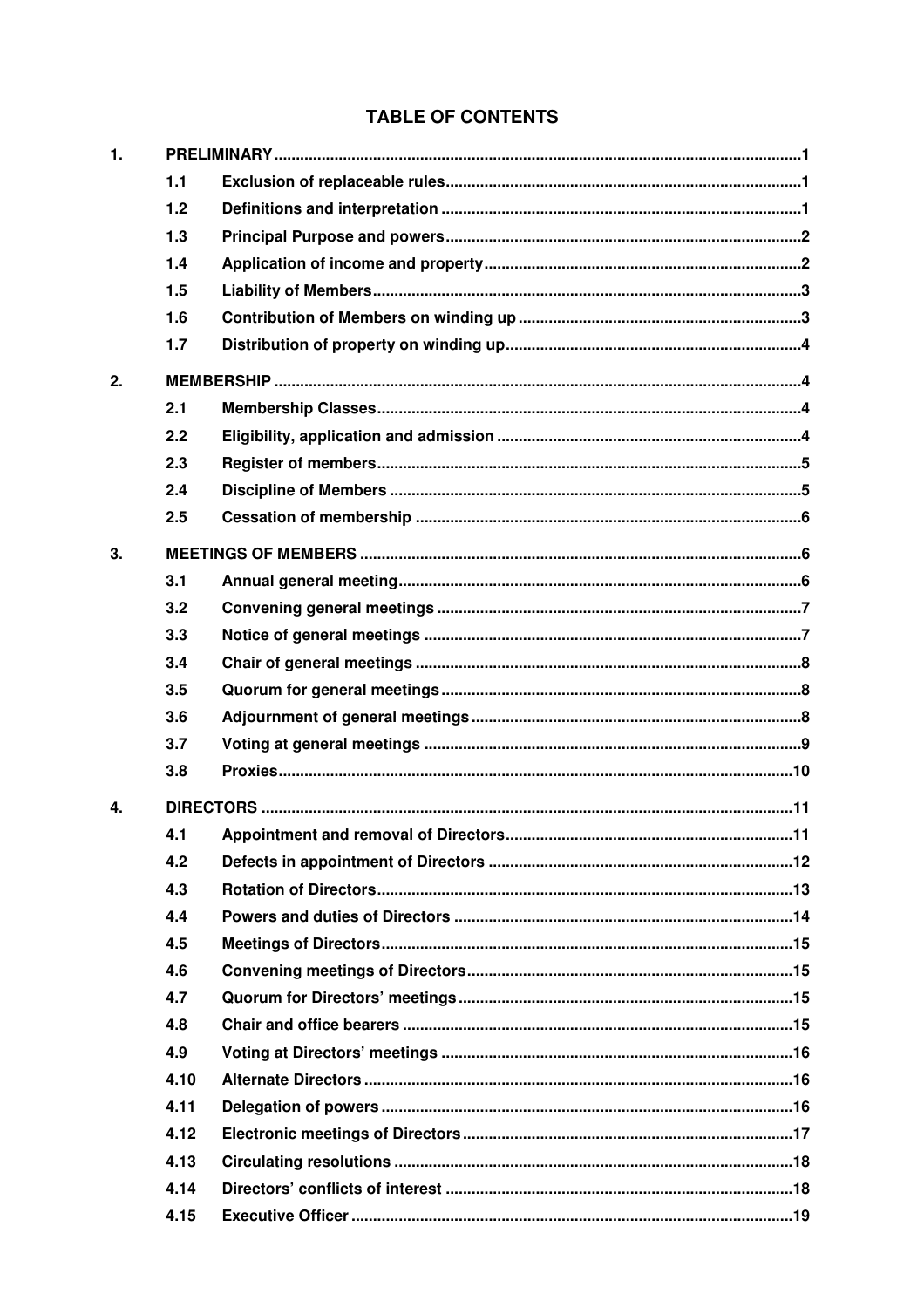# **TABLE OF CONTENTS**

| 1. |      |  |  |  |  |
|----|------|--|--|--|--|
|    | 1.1  |  |  |  |  |
|    | 1.2  |  |  |  |  |
|    | 1.3  |  |  |  |  |
|    | 1.4  |  |  |  |  |
|    | 1.5  |  |  |  |  |
|    | 1.6  |  |  |  |  |
|    | 1.7  |  |  |  |  |
| 2. |      |  |  |  |  |
|    | 2.1  |  |  |  |  |
|    | 2.2  |  |  |  |  |
|    | 2.3  |  |  |  |  |
|    | 2.4  |  |  |  |  |
|    | 2.5  |  |  |  |  |
| 3. |      |  |  |  |  |
|    | 3.1  |  |  |  |  |
|    | 3.2  |  |  |  |  |
|    | 3.3  |  |  |  |  |
|    | 3.4  |  |  |  |  |
|    | 3.5  |  |  |  |  |
|    | 3.6  |  |  |  |  |
|    | 3.7  |  |  |  |  |
|    | 3.8  |  |  |  |  |
| 4. |      |  |  |  |  |
|    | 4.1  |  |  |  |  |
|    | 4.2  |  |  |  |  |
|    | 4.3  |  |  |  |  |
|    | 4.4  |  |  |  |  |
|    | 4.5  |  |  |  |  |
|    | 4.6  |  |  |  |  |
|    | 4.7  |  |  |  |  |
|    | 4.8  |  |  |  |  |
|    | 4.9  |  |  |  |  |
|    | 4.10 |  |  |  |  |
|    | 4.11 |  |  |  |  |
|    | 4.12 |  |  |  |  |
|    | 4.13 |  |  |  |  |
|    | 4.14 |  |  |  |  |
|    | 4.15 |  |  |  |  |